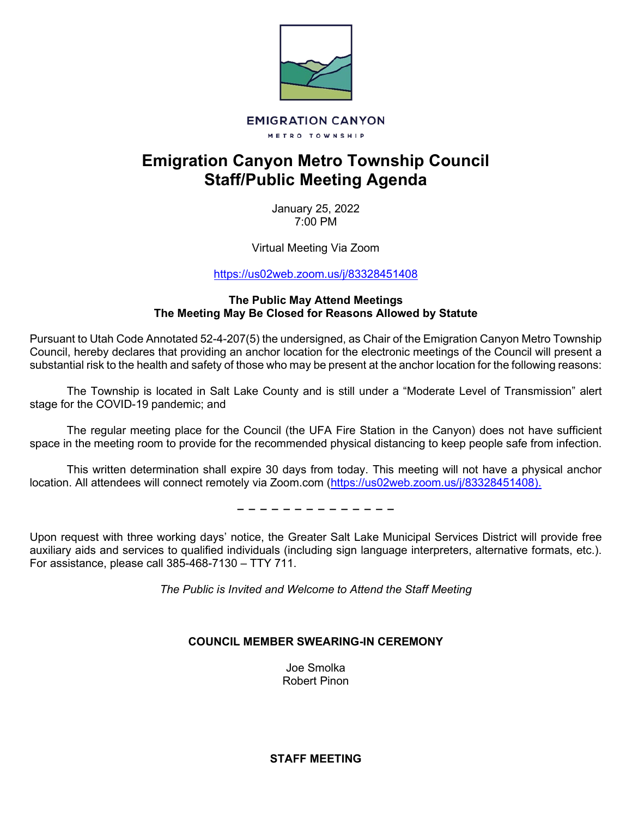

#### **EMIGRATION CANYON** METRO TOWNSHIP

# **Emigration Canyon Metro Township Council Staff/Public Meeting Agenda**

January 25, 2022 7:00 PM

Virtual Meeting Via Zoom

#### <https://us02web.zoom.us/j/83328451408>

#### **The Public May Attend Meetings The Meeting May Be Closed for Reasons Allowed by Statute**

Pursuant to Utah Code Annotated 52-4-207(5) the undersigned, as Chair of the Emigration Canyon Metro Township Council, hereby declares that providing an anchor location for the electronic meetings of the Council will present a substantial risk to the health and safety of those who may be present at the anchor location for the following reasons:

The Township is located in Salt Lake County and is still under a "Moderate Level of Transmission" alert stage for the COVID-19 pandemic; and

The regular meeting place for the Council (the UFA Fire Station in the Canyon) does not have sufficient space in the meeting room to provide for the recommended physical distancing to keep people safe from infection.

This written determination shall expire 30 days from today. This meeting will not have a physical anchor location. All attendees will connect remotely via Zoom.com [\(https://us02web.zoom.us/j/83328451408\)](https://us02web.zoom.us/j/83328451408).

− − − − − − − − − − − − − −

Upon request with three working days' notice, the Greater Salt Lake Municipal Services District will provide free auxiliary aids and services to qualified individuals (including sign language interpreters, alternative formats, etc.). For assistance, please call 385-468-7130 – TTY 711.

*The Public is Invited and Welcome to Attend the Staff Meeting*

### **COUNCIL MEMBER SWEARING-IN CEREMONY**

Joe Smolka Robert Pinon

**STAFF MEETING**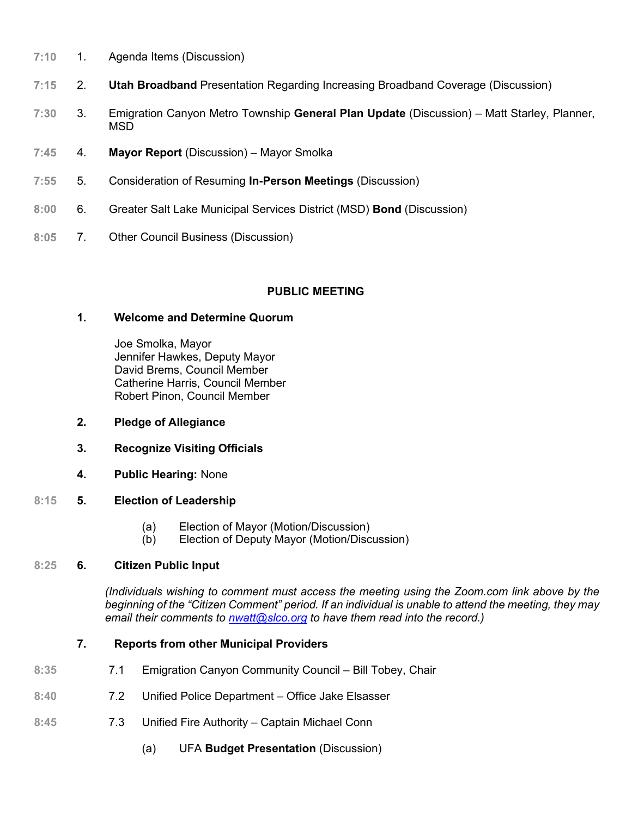- $7:10$ 1. Agenda Items (Discussion)
- $7:15$ 2. **Utah Broadband** Presentation Regarding Increasing Broadband Coverage (Discussion)
- $7:30$ 3. Emigration Canyon Metro Township **General Plan Update** (Discussion) – Matt Starley, Planner, MSD
- $7:45$ 4. **Mayor Report** (Discussion) – Mayor Smolka
- $7:55$ 5. Consideration of Resuming **In-Person Meetings** (Discussion)
- 6. Greater Salt Lake Municipal Services District (MSD) **Bond** (Discussion)  $8:00$
- $8:05$ 7. Other Council Business (Discussion)

## **PUBLIC MEETING**

### **1. Welcome and Determine Quorum**

 Joe Smolka, Mayor Jennifer Hawkes, Deputy Mayor David Brems, Council Member Catherine Harris, Council Member Robert Pinon, Council Member

- **2. Pledge of Allegiance**
- **3. Recognize Visiting Officials**
- **4. Public Hearing:** None

### **8:15 5. Election of Leadership**

- (a) Election of Mayor (Motion/Discussion)
- (b) Election of Deputy Mayor (Motion/Discussion)

#### **8:25 6. Citizen Public Input**

*(Individuals wishing to comment must access the meeting using the Zoom.com link above by the beginning of the "Citizen Comment" period. If an individual is unable to attend the meeting, they may email their comments to [nwatt@slco.org](mailto:nwatt@slco.org) to have them read into the record.)*

### **7. Reports from other Municipal Providers**

- **8:35** 7.1 Emigration Canyon Community Council Bill Tobey, Chair
- **8:40** 7.2 Unified Police Department Office Jake Elsasser
- **8:45** 7.3 Unified Fire Authority Captain Michael Conn
	- (a) UFA **Budget Presentation** (Discussion)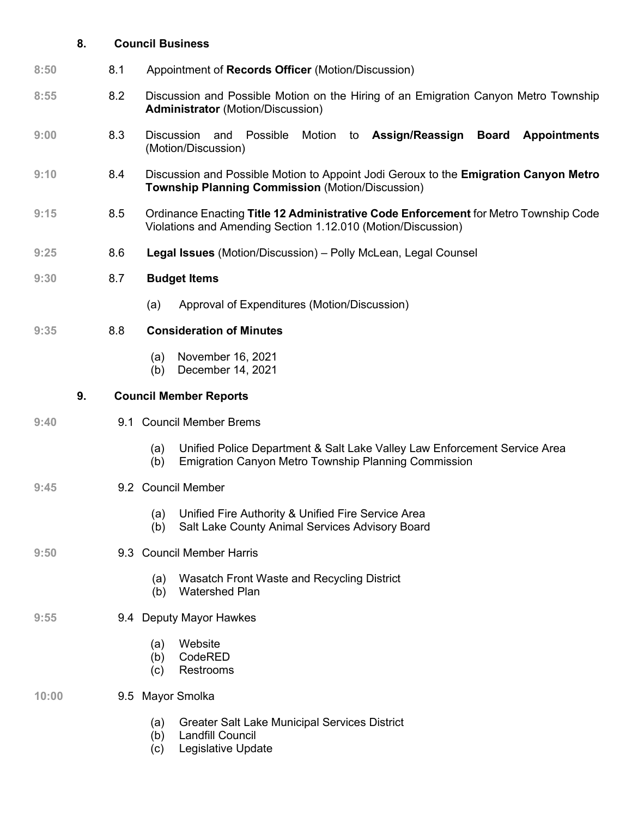#### **8. Council Business**

- **8:50** 8.1 Appointment of **Records Officer** (Motion/Discussion)
- **8:55** 8.2 Discussion and Possible Motion on the Hiring of an Emigration Canyon Metro Township **Administrator** (Motion/Discussion)
- **9:00** 8.3 Discussion and Possible Motion to **Assign/Reassign Board Appointments** (Motion/Discussion)
- **9:10** 8.4 Discussion and Possible Motion to Appoint Jodi Geroux to the **Emigration Canyon Metro Township Planning Commission** (Motion/Discussion)
- **9:15** 8.5 Ordinance Enacting **Title 12 Administrative Code Enforcement** for Metro Township Code Violations and Amending Section 1.12.010 (Motion/Discussion)
- **9:25** 8.6 **Legal Issues** (Motion/Discussion) Polly McLean, Legal Counsel

#### **9:30** 8.7 **Budget Items**

- (a) Approval of Expenditures (Motion/Discussion)
- **9:35** 8.8 **Consideration of Minutes**
	- (a) November 16, 2021
	- (b) December 14, 2021

### **9. Council Member Reports**

- **9:40** 9.1 Council Member Brems
	- (a) Unified Police Department & Salt Lake Valley Law Enforcement Service Area
	- (b) Emigration Canyon Metro Township Planning Commission

#### **9:45** 9.2 Council Member

- (a) Unified Fire Authority & Unified Fire Service Area
- (b) Salt Lake County Animal Services Advisory Board

#### **9:50** 9.3 Council Member Harris

- (a) Wasatch Front Waste and Recycling District
- (b) Watershed Plan

#### **9:55** 9.4 Deputy Mayor Hawkes

- (a) Website
- (b) CodeRED
- (c) Restrooms

#### **10:00** 9.5 Mayor Smolka

- (a) Greater Salt Lake Municipal Services District
- (b) Landfill Council<br>(c) Legislative Upda
- Legislative Update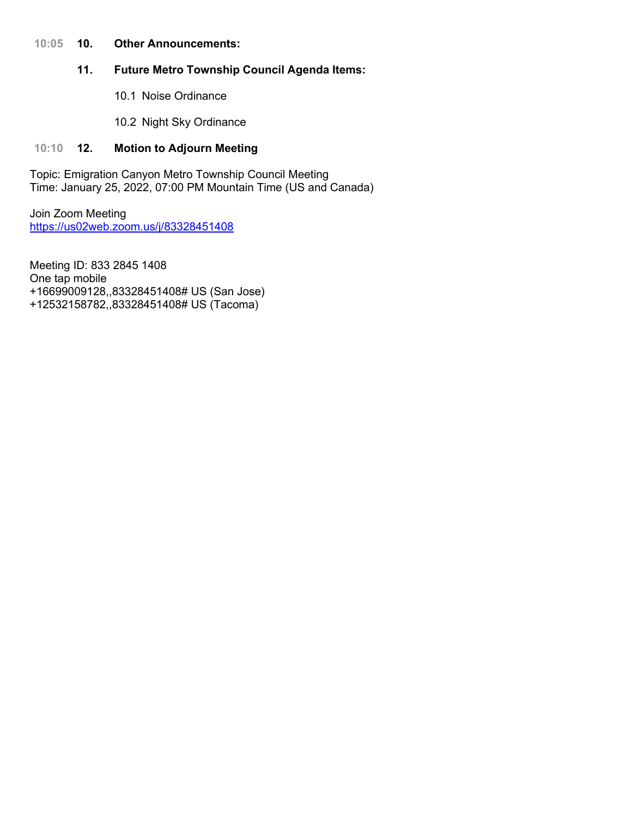#### **10:05 10. Other Announcements:**

## **11. Future Metro Township Council Agenda Items:**

- 10.1 Noise Ordinance
- 10.2 Night Sky Ordinance

## **10:10 12. Motion to Adjourn Meeting**

Topic: Emigration Canyon Metro Township Council Meeting Time: January 25, 2022, 07:00 PM Mountain Time (US and Canada)

Join Zoom Meeting <https://us02web.zoom.us/j/83328451408>

Meeting ID: 833 2845 1408 One tap mobile +16699009128,,83328451408# US (San Jose) +12532158782,,83328451408# US (Tacoma)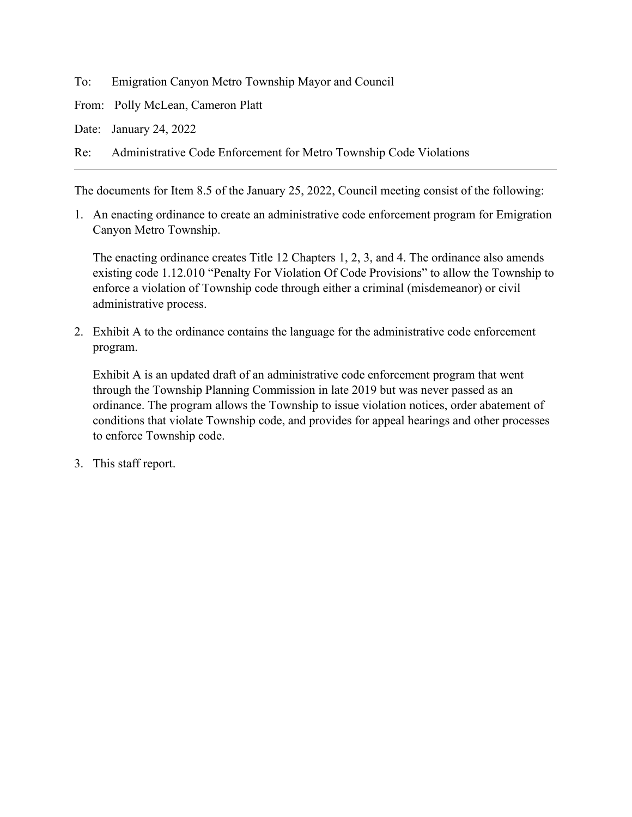To: Emigration Canyon Metro Township Mayor and Council

From: Polly McLean, Cameron Platt

Date: January 24, 2022

Re: Administrative Code Enforcement for Metro Township Code Violations

The documents for Item 8.5 of the January 25, 2022, Council meeting consist of the following:

1. An enacting ordinance to create an administrative code enforcement program for Emigration Canyon Metro Township.

The enacting ordinance creates Title 12 Chapters 1, 2, 3, and 4. The ordinance also amends existing code 1.12.010 "Penalty For Violation Of Code Provisions" to allow the Township to enforce a violation of Township code through either a criminal (misdemeanor) or civil administrative process.

2. Exhibit A to the ordinance contains the language for the administrative code enforcement program.

Exhibit A is an updated draft of an administrative code enforcement program that went through the Township Planning Commission in late 2019 but was never passed as an ordinance. The program allows the Township to issue violation notices, order abatement of conditions that violate Township code, and provides for appeal hearings and other processes to enforce Township code.

3. This staff report.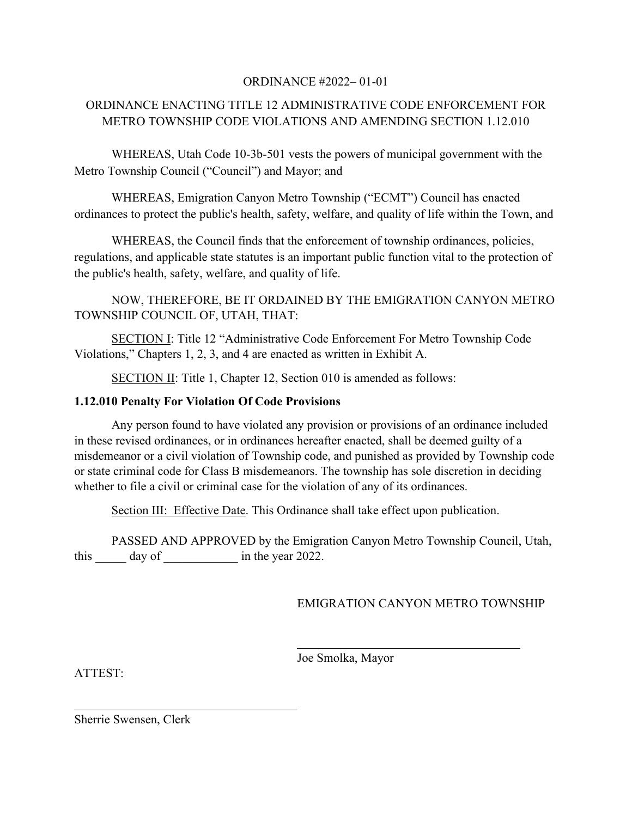### ORDINANCE #2022– 01-01

## ORDINANCE ENACTING TITLE 12 ADMINISTRATIVE CODE ENFORCEMENT FOR METRO TOWNSHIP CODE VIOLATIONS AND AMENDING SECTION 1.12.010

WHEREAS, Utah Code 10-3b-501 vests the powers of municipal government with the Metro Township Council ("Council") and Mayor; and

WHEREAS, Emigration Canyon Metro Township ("ECMT") Council has enacted ordinances to protect the public's health, safety, welfare, and quality of life within the Town, and

WHEREAS, the Council finds that the enforcement of township ordinances, policies, regulations, and applicable state statutes is an important public function vital to the protection of the public's health, safety, welfare, and quality of life.

## NOW, THEREFORE, BE IT ORDAINED BY THE EMIGRATION CANYON METRO TOWNSHIP COUNCIL OF, UTAH, THAT:

SECTION I: Title 12 "Administrative Code Enforcement For Metro Township Code Violations," Chapters 1, 2, 3, and 4 are enacted as written in Exhibit A.

SECTION II: Title 1, Chapter 12, Section 010 is amended as follows:

### **1.12.010 Penalty For Violation Of Code Provisions**

Any person found to have violated any provision or provisions of an ordinance included in these revised ordinances, or in ordinances hereafter enacted, shall be deemed guilty of a misdemeanor or a civil violation of Township code, and punished as provided by Township code or state criminal code for Class B misdemeanors. The township has sole discretion in deciding whether to file a civil or criminal case for the violation of any of its ordinances.

Section III: Effective Date. This Ordinance shall take effect upon publication.

PASSED AND APPROVED by the Emigration Canyon Metro Township Council, Utah, this \_\_\_\_\_\_ day of \_\_\_\_\_\_\_\_\_\_\_\_\_\_\_ in the year 2022.

EMIGRATION CANYON METRO TOWNSHIP

Joe Smolka, Mayor

ATTEST:

Sherrie Swensen, Clerk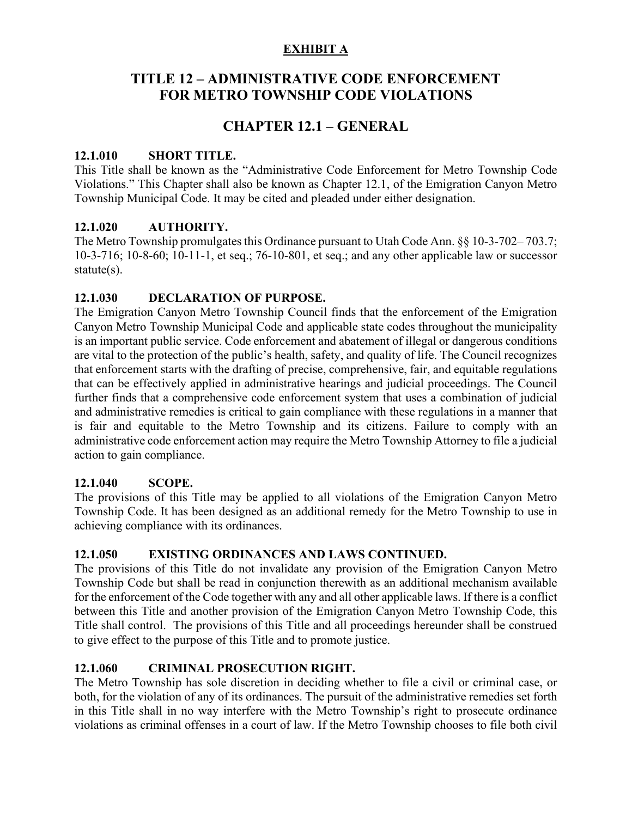### **EXHIBIT A**

## **TITLE 12 – ADMINISTRATIVE CODE ENFORCEMENT FOR METRO TOWNSHIP CODE VIOLATIONS**

## **CHAPTER 12.1 – GENERAL**

### **12.1.010 SHORT TITLE.**

This Title shall be known as the "Administrative Code Enforcement for Metro Township Code Violations." This Chapter shall also be known as Chapter 12.1, of the Emigration Canyon Metro Township Municipal Code. It may be cited and pleaded under either designation.

### **12.1.020 AUTHORITY.**

The Metro Township promulgates this Ordinance pursuant to Utah Code Ann. §§ 10-3-702– 703.7; 10-3-716; 10-8-60; 10-11-1, et seq.; 76-10-801, et seq.; and any other applicable law or successor statute(s).

### **12.1.030 DECLARATION OF PURPOSE.**

The Emigration Canyon Metro Township Council finds that the enforcement of the Emigration Canyon Metro Township Municipal Code and applicable state codes throughout the municipality is an important public service. Code enforcement and abatement of illegal or dangerous conditions are vital to the protection of the public's health, safety, and quality of life. The Council recognizes that enforcement starts with the drafting of precise, comprehensive, fair, and equitable regulations that can be effectively applied in administrative hearings and judicial proceedings. The Council further finds that a comprehensive code enforcement system that uses a combination of judicial and administrative remedies is critical to gain compliance with these regulations in a manner that is fair and equitable to the Metro Township and its citizens. Failure to comply with an administrative code enforcement action may require the Metro Township Attorney to file a judicial action to gain compliance.

#### **12.1.040 SCOPE.**

The provisions of this Title may be applied to all violations of the Emigration Canyon Metro Township Code. It has been designed as an additional remedy for the Metro Township to use in achieving compliance with its ordinances.

#### **12.1.050 EXISTING ORDINANCES AND LAWS CONTINUED.**

The provisions of this Title do not invalidate any provision of the Emigration Canyon Metro Township Code but shall be read in conjunction therewith as an additional mechanism available for the enforcement of the Code together with any and all other applicable laws. If there is a conflict between this Title and another provision of the Emigration Canyon Metro Township Code, this Title shall control. The provisions of this Title and all proceedings hereunder shall be construed to give effect to the purpose of this Title and to promote justice.

### **12.1.060 CRIMINAL PROSECUTION RIGHT.**

The Metro Township has sole discretion in deciding whether to file a civil or criminal case, or both, for the violation of any of its ordinances. The pursuit of the administrative remedies set forth in this Title shall in no way interfere with the Metro Township's right to prosecute ordinance violations as criminal offenses in a court of law. If the Metro Township chooses to file both civil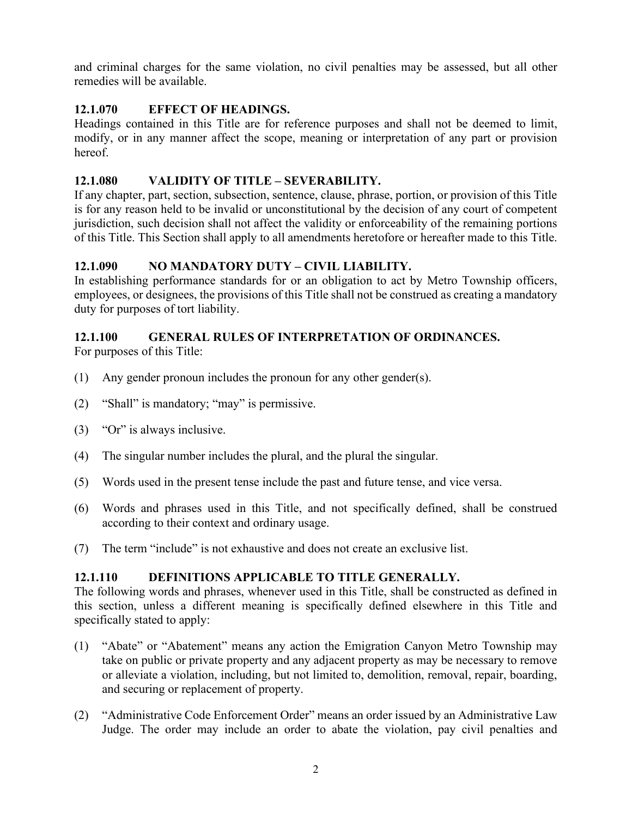and criminal charges for the same violation, no civil penalties may be assessed, but all other remedies will be available.

### **12.1.070 EFFECT OF HEADINGS.**

Headings contained in this Title are for reference purposes and shall not be deemed to limit, modify, or in any manner affect the scope, meaning or interpretation of any part or provision hereof.

## **12.1.080 VALIDITY OF TITLE – SEVERABILITY.**

If any chapter, part, section, subsection, sentence, clause, phrase, portion, or provision of this Title is for any reason held to be invalid or unconstitutional by the decision of any court of competent jurisdiction, such decision shall not affect the validity or enforceability of the remaining portions of this Title. This Section shall apply to all amendments heretofore or hereafter made to this Title.

## **12.1.090 NO MANDATORY DUTY – CIVIL LIABILITY.**

In establishing performance standards for or an obligation to act by Metro Township officers, employees, or designees, the provisions of this Title shall not be construed as creating a mandatory duty for purposes of tort liability.

## **12.1.100 GENERAL RULES OF INTERPRETATION OF ORDINANCES.**

For purposes of this Title:

- (1) Any gender pronoun includes the pronoun for any other gender(s).
- (2) "Shall" is mandatory; "may" is permissive.
- (3) "Or" is always inclusive.
- (4) The singular number includes the plural, and the plural the singular.
- (5) Words used in the present tense include the past and future tense, and vice versa.
- (6) Words and phrases used in this Title, and not specifically defined, shall be construed according to their context and ordinary usage.
- (7) The term "include" is not exhaustive and does not create an exclusive list.

## **12.1.110 DEFINITIONS APPLICABLE TO TITLE GENERALLY.**

The following words and phrases, whenever used in this Title, shall be constructed as defined in this section, unless a different meaning is specifically defined elsewhere in this Title and specifically stated to apply:

- (1) "Abate" or "Abatement" means any action the Emigration Canyon Metro Township may take on public or private property and any adjacent property as may be necessary to remove or alleviate a violation, including, but not limited to, demolition, removal, repair, boarding, and securing or replacement of property.
- (2) "Administrative Code Enforcement Order" means an order issued by an Administrative Law Judge. The order may include an order to abate the violation, pay civil penalties and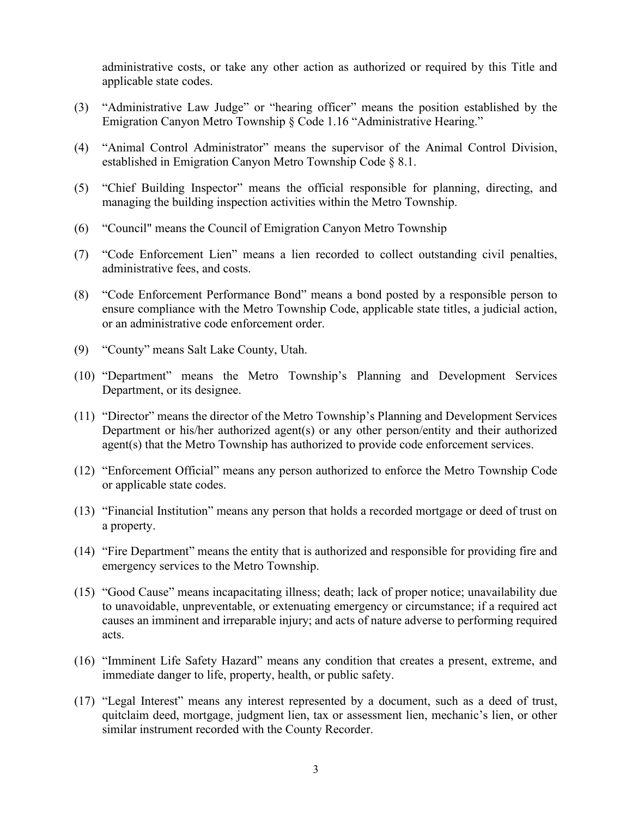administrative costs, or take any other action as authorized or required by this Title and applicable state codes.

- (3) "Administrative Law Judge" or "hearing officer" means the position established by the Emigration Canyon Metro Township § Code 1.16 "Administrative Hearing."
- (4) "Animal Control Administrator" means the supervisor of the Animal Control Division, established in Emigration Canyon Metro Township Code § 8.1.
- (5) "Chief Building Inspector" means the official responsible for planning, directing, and managing the building inspection activities within the Metro Township.
- (6) "Council" means the Council of Emigration Canyon Metro Township
- (7) "Code Enforcement Lien" means a lien recorded to collect outstanding civil penalties, administrative fees, and costs.
- (8) "Code Enforcement Performance Bond" means a bond posted by a responsible person to ensure compliance with the Metro Township Code, applicable state titles, a judicial action, or an administrative code enforcement order.
- (9) "County" means Salt Lake County, Utah.
- (10) "Department" means the Metro Township's Planning and Development Services Department, or its designee.
- (11) "Director" means the director of the Metro Township's Planning and Development Services Department or his/her authorized agent(s) or any other person/entity and their authorized agent(s) that the Metro Township has authorized to provide code enforcement services.
- (12) "Enforcement Official" means any person authorized to enforce the Metro Township Code or applicable state codes.
- (13) "Financial Institution" means any person that holds a recorded mortgage or deed of trust on a property.
- (14) "Fire Department" means the entity that is authorized and responsible for providing fire and emergency services to the Metro Township.
- (15) "Good Cause" means incapacitating illness; death; lack of proper notice; unavailability due to unavoidable, unpreventable, or extenuating emergency or circumstance; if a required act causes an imminent and irreparable injury; and acts of nature adverse to performing required acts.
- (16) "Imminent Life Safety Hazard" means any condition that creates a present, extreme, and immediate danger to life, property, health, or public safety.
- (17) "Legal Interest" means any interest represented by a document, such as a deed of trust, quitclaim deed, mortgage, judgment lien, tax or assessment lien, mechanic's lien, or other similar instrument recorded with the County Recorder.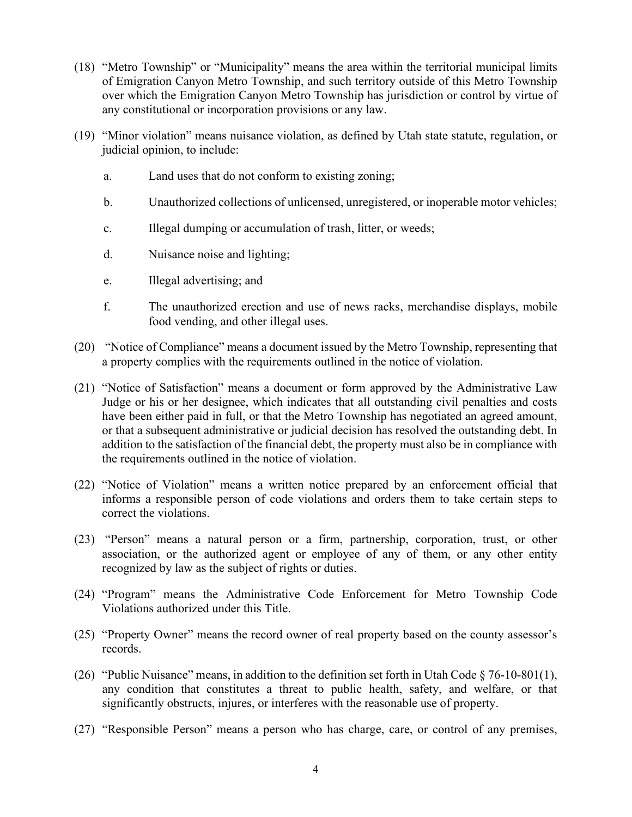- (18) "Metro Township" or "Municipality" means the area within the territorial municipal limits of Emigration Canyon Metro Township, and such territory outside of this Metro Township over which the Emigration Canyon Metro Township has jurisdiction or control by virtue of any constitutional or incorporation provisions or any law.
- (19) "Minor violation" means nuisance violation, as defined by Utah state statute, regulation, or judicial opinion, to include:
	- a. Land uses that do not conform to existing zoning;
	- b. Unauthorized collections of unlicensed, unregistered, or inoperable motor vehicles;
	- c. Illegal dumping or accumulation of trash, litter, or weeds;
	- d. Nuisance noise and lighting;
	- e. Illegal advertising; and
	- f. The unauthorized erection and use of news racks, merchandise displays, mobile food vending, and other illegal uses.
- (20) "Notice of Compliance" means a document issued by the Metro Township, representing that a property complies with the requirements outlined in the notice of violation.
- (21) "Notice of Satisfaction" means a document or form approved by the Administrative Law Judge or his or her designee, which indicates that all outstanding civil penalties and costs have been either paid in full, or that the Metro Township has negotiated an agreed amount, or that a subsequent administrative or judicial decision has resolved the outstanding debt. In addition to the satisfaction of the financial debt, the property must also be in compliance with the requirements outlined in the notice of violation.
- (22) "Notice of Violation" means a written notice prepared by an enforcement official that informs a responsible person of code violations and orders them to take certain steps to correct the violations.
- (23) "Person" means a natural person or a firm, partnership, corporation, trust, or other association, or the authorized agent or employee of any of them, or any other entity recognized by law as the subject of rights or duties.
- (24) "Program" means the Administrative Code Enforcement for Metro Township Code Violations authorized under this Title.
- (25) "Property Owner" means the record owner of real property based on the county assessor's records.
- (26) "Public Nuisance" means, in addition to the definition set forth in Utah Code  $\S 76-10-801(1)$ , any condition that constitutes a threat to public health, safety, and welfare, or that significantly obstructs, injures, or interferes with the reasonable use of property.
- (27) "Responsible Person" means a person who has charge, care, or control of any premises,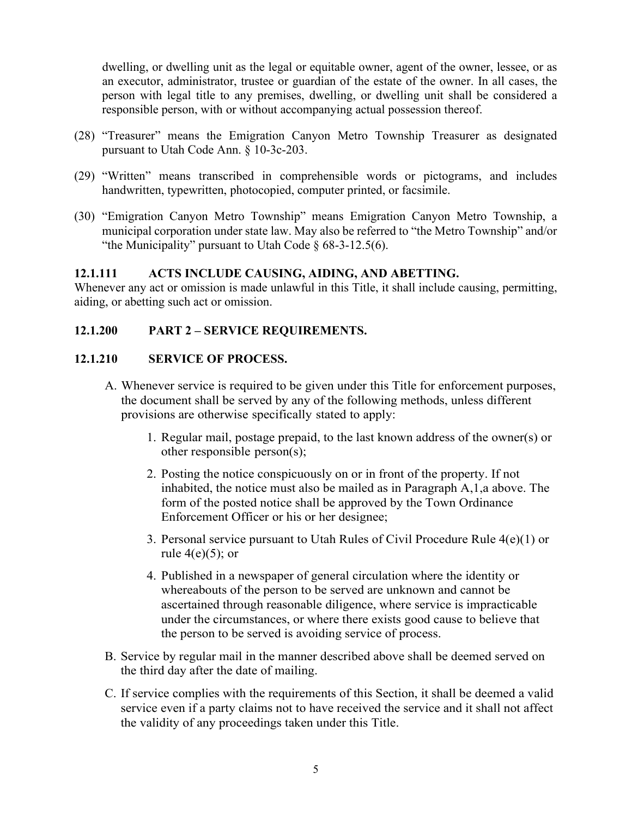dwelling, or dwelling unit as the legal or equitable owner, agent of the owner, lessee, or as an executor, administrator, trustee or guardian of the estate of the owner. In all cases, the person with legal title to any premises, dwelling, or dwelling unit shall be considered a responsible person, with or without accompanying actual possession thereof.

- (28) "Treasurer" means the Emigration Canyon Metro Township Treasurer as designated pursuant to Utah Code Ann. § 10-3c-203.
- (29) "Written" means transcribed in comprehensible words or pictograms, and includes handwritten, typewritten, photocopied, computer printed, or facsimile.
- (30) "Emigration Canyon Metro Township" means Emigration Canyon Metro Township, a municipal corporation under state law. May also be referred to "the Metro Township" and/or "the Municipality" pursuant to Utah Code § 68-3-12.5(6).

#### **12.1.111 ACTS INCLUDE CAUSING, AIDING, AND ABETTING.**

Whenever any act or omission is made unlawful in this Title, it shall include causing, permitting, aiding, or abetting such act or omission.

### **12.1.200 PART 2 – SERVICE REQUIREMENTS.**

#### **12.1.210 SERVICE OF PROCESS.**

- A. Whenever service is required to be given under this Title for enforcement purposes, the document shall be served by any of the following methods, unless different provisions are otherwise specifically stated to apply:
	- 1. Regular mail, postage prepaid, to the last known address of the owner(s) or other responsible person(s);
	- 2. Posting the notice conspicuously on or in front of the property. If not inhabited, the notice must also be mailed as in Paragraph A,1,a above. The form of the posted notice shall be approved by the Town Ordinance Enforcement Officer or his or her designee;
	- 3. Personal service pursuant to Utah Rules of Civil Procedure Rule 4(e)(1) or rule  $4(e)(5)$ ; or
	- 4. Published in a newspaper of general circulation where the identity or whereabouts of the person to be served are unknown and cannot be ascertained through reasonable diligence, where service is impracticable under the circumstances, or where there exists good cause to believe that the person to be served is avoiding service of process.
- B. Service by regular mail in the manner described above shall be deemed served on the third day after the date of mailing.
- C. If service complies with the requirements of this Section, it shall be deemed a valid service even if a party claims not to have received the service and it shall not affect the validity of any proceedings taken under this Title.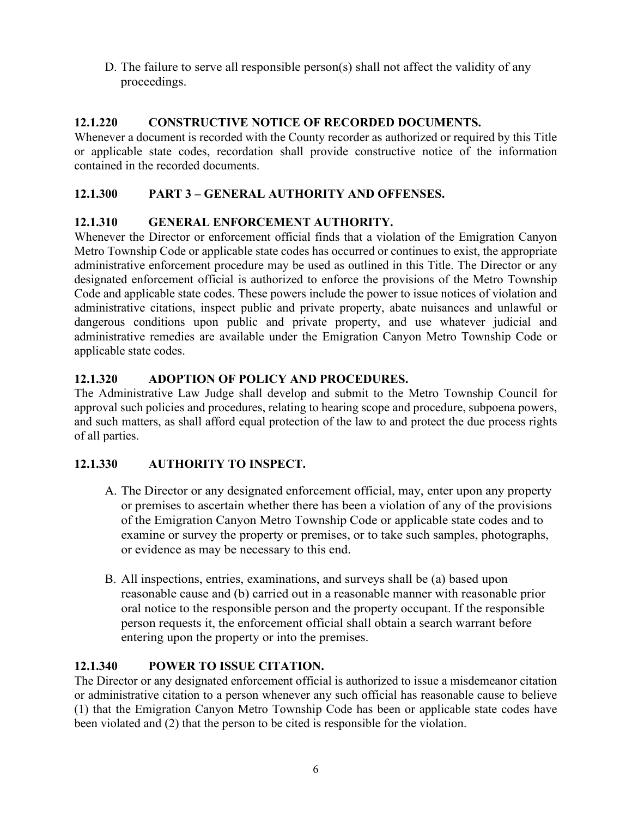D. The failure to serve all responsible person(s) shall not affect the validity of any proceedings.

### **12.1.220 CONSTRUCTIVE NOTICE OF RECORDED DOCUMENTS.**

Whenever a document is recorded with the County recorder as authorized or required by this Title or applicable state codes, recordation shall provide constructive notice of the information contained in the recorded documents.

## **12.1.300 PART 3 – GENERAL AUTHORITY AND OFFENSES.**

## **12.1.310 GENERAL ENFORCEMENT AUTHORITY.**

Whenever the Director or enforcement official finds that a violation of the Emigration Canyon Metro Township Code or applicable state codes has occurred or continues to exist, the appropriate administrative enforcement procedure may be used as outlined in this Title. The Director or any designated enforcement official is authorized to enforce the provisions of the Metro Township Code and applicable state codes. These powers include the power to issue notices of violation and administrative citations, inspect public and private property, abate nuisances and unlawful or dangerous conditions upon public and private property, and use whatever judicial and administrative remedies are available under the Emigration Canyon Metro Township Code or applicable state codes.

## **12.1.320 ADOPTION OF POLICY AND PROCEDURES.**

The Administrative Law Judge shall develop and submit to the Metro Township Council for approval such policies and procedures, relating to hearing scope and procedure, subpoena powers, and such matters, as shall afford equal protection of the law to and protect the due process rights of all parties.

## **12.1.330 AUTHORITY TO INSPECT.**

- A. The Director or any designated enforcement official, may, enter upon any property or premises to ascertain whether there has been a violation of any of the provisions of the Emigration Canyon Metro Township Code or applicable state codes and to examine or survey the property or premises, or to take such samples, photographs, or evidence as may be necessary to this end.
- B. All inspections, entries, examinations, and surveys shall be (a) based upon reasonable cause and (b) carried out in a reasonable manner with reasonable prior oral notice to the responsible person and the property occupant. If the responsible person requests it, the enforcement official shall obtain a search warrant before entering upon the property or into the premises.

## **12.1.340 POWER TO ISSUE CITATION.**

The Director or any designated enforcement official is authorized to issue a misdemeanor citation or administrative citation to a person whenever any such official has reasonable cause to believe (1) that the Emigration Canyon Metro Township Code has been or applicable state codes have been violated and (2) that the person to be cited is responsible for the violation.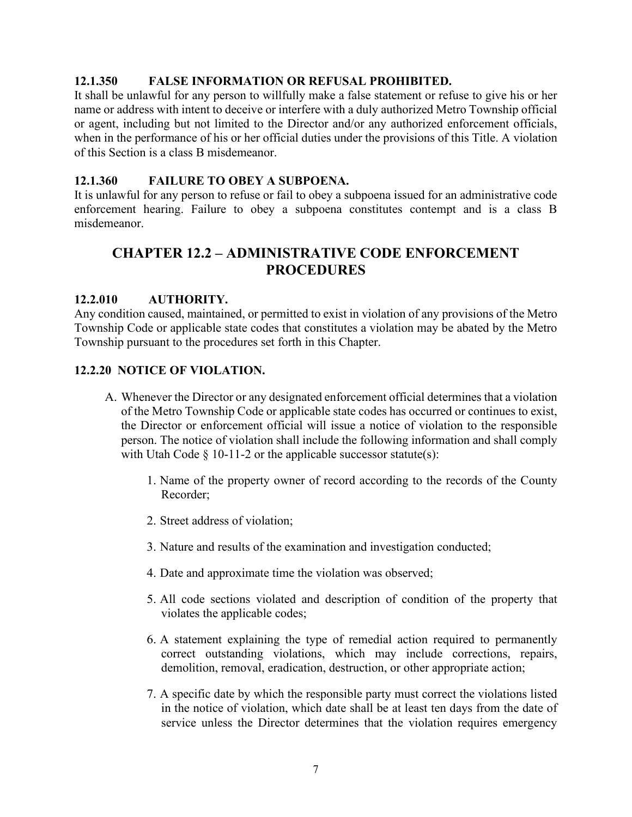#### **12.1.350 FALSE INFORMATION OR REFUSAL PROHIBITED.**

It shall be unlawful for any person to willfully make a false statement or refuse to give his or her name or address with intent to deceive or interfere with a duly authorized Metro Township official or agent, including but not limited to the Director and/or any authorized enforcement officials, when in the performance of his or her official duties under the provisions of this Title. A violation of this Section is a class B misdemeanor.

#### **12.1.360 FAILURE TO OBEY A SUBPOENA.**

It is unlawful for any person to refuse or fail to obey a subpoena issued for an administrative code enforcement hearing. Failure to obey a subpoena constitutes contempt and is a class B misdemeanor.

## **CHAPTER 12.2 – ADMINISTRATIVE CODE ENFORCEMENT PROCEDURES**

### **12.2.010 AUTHORITY.**

Any condition caused, maintained, or permitted to exist in violation of any provisions of the Metro Township Code or applicable state codes that constitutes a violation may be abated by the Metro Township pursuant to the procedures set forth in this Chapter.

### **12.2.20 NOTICE OF VIOLATION.**

- A. Whenever the Director or any designated enforcement official determines that a violation of the Metro Township Code or applicable state codes has occurred or continues to exist, the Director or enforcement official will issue a notice of violation to the responsible person. The notice of violation shall include the following information and shall comply with Utah Code  $\S$  10-11-2 or the applicable successor statute(s):
	- 1. Name of the property owner of record according to the records of the County Recorder;
	- 2. Street address of violation;
	- 3. Nature and results of the examination and investigation conducted;
	- 4. Date and approximate time the violation was observed;
	- 5. All code sections violated and description of condition of the property that violates the applicable codes;
	- 6. A statement explaining the type of remedial action required to permanently correct outstanding violations, which may include corrections, repairs, demolition, removal, eradication, destruction, or other appropriate action;
	- 7. A specific date by which the responsible party must correct the violations listed in the notice of violation, which date shall be at least ten days from the date of service unless the Director determines that the violation requires emergency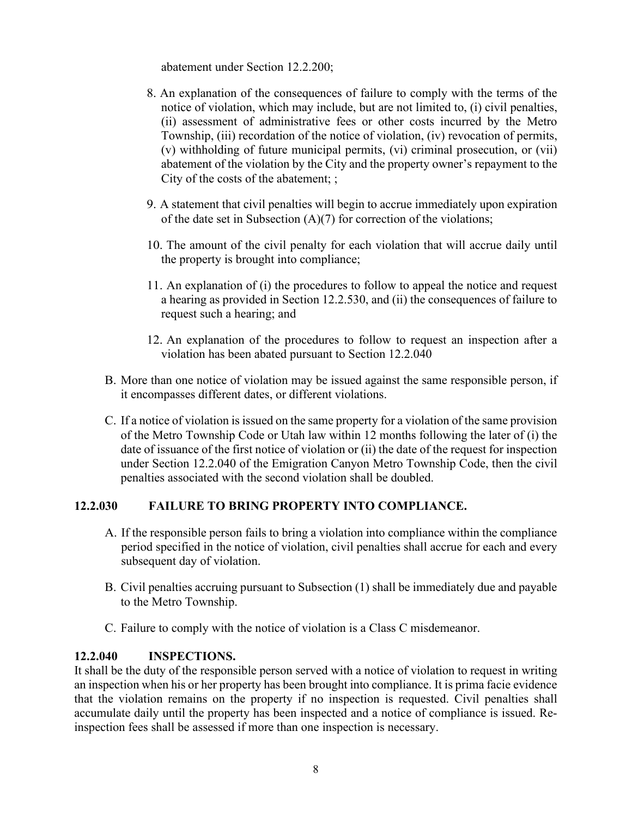abatement under Section 12.2.200;

- 8. An explanation of the consequences of failure to comply with the terms of the notice of violation, which may include, but are not limited to, (i) civil penalties, (ii) assessment of administrative fees or other costs incurred by the Metro Township, (iii) recordation of the notice of violation, (iv) revocation of permits, (v) withholding of future municipal permits, (vi) criminal prosecution, or (vii) abatement of the violation by the City and the property owner's repayment to the City of the costs of the abatement; ;
- 9. A statement that civil penalties will begin to accrue immediately upon expiration of the date set in Subsection  $(A)(7)$  for correction of the violations;
- 10. The amount of the civil penalty for each violation that will accrue daily until the property is brought into compliance;
- 11. An explanation of (i) the procedures to follow to appeal the notice and request a hearing as provided in Section [12.2.530,](#page-17-0) and (ii) the consequences of failure to request such a hearing; and
- 12. An explanation of the procedures to follow to request an inspection after a violation has been abated pursuant to Section 12.2.040
- B. More than one notice of violation may be issued against the same responsible person, if it encompasses different dates, or different violations.
- C. If a notice of violation is issued on the same property for a violation of the same provision of the Metro Township Code or Utah law within 12 months following the later of (i) the date of issuance of the first notice of violation or (ii) the date of the request for inspection under Section 12.2.040 of the Emigration Canyon Metro Township Code, then the civil penalties associated with the second violation shall be doubled.

### **12.2.030 FAILURE TO BRING PROPERTY INTO COMPLIANCE.**

- A. If the responsible person fails to bring a violation into compliance within the compliance period specified in the notice of violation, civil penalties shall accrue for each and every subsequent day of violation.
- B. Civil penalties accruing pursuant to Subsection (1) shall be immediately due and payable to the Metro Township.
- C. Failure to comply with the notice of violation is a Class C misdemeanor.

#### **12.2.040 INSPECTIONS.**

It shall be the duty of the responsible person served with a notice of violation to request in writing an inspection when his or her property has been brought into compliance. It is prima facie evidence that the violation remains on the property if no inspection is requested. Civil penalties shall accumulate daily until the property has been inspected and a notice of compliance is issued. Reinspection fees shall be assessed if more than one inspection is necessary.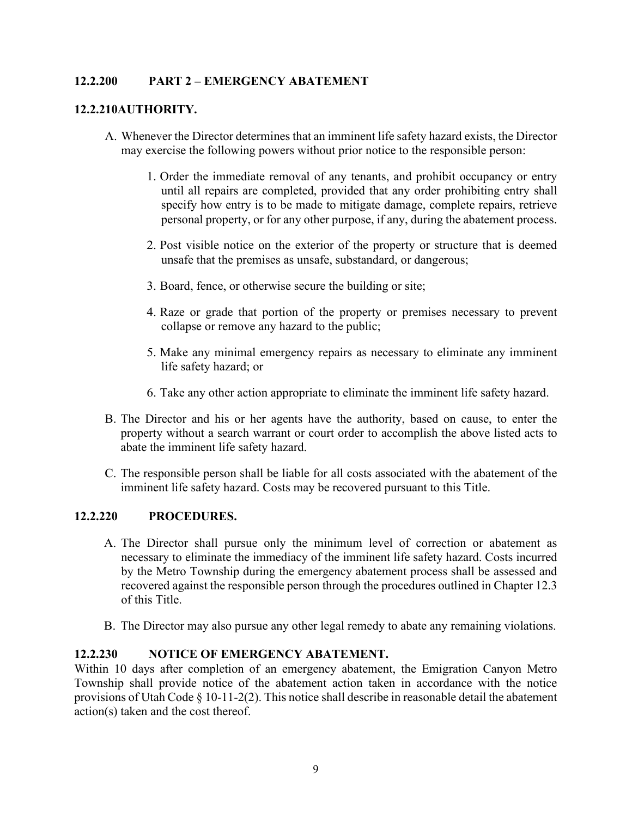### <span id="page-14-0"></span>**12.2.200 PART 2 – EMERGENCY ABATEMENT**

#### **12.2.210AUTHORITY.**

- A. Whenever the Director determines that an imminent life safety hazard exists, the Director may exercise the following powers without prior notice to the responsible person:
	- 1. Order the immediate removal of any tenants, and prohibit occupancy or entry until all repairs are completed, provided that any order prohibiting entry shall specify how entry is to be made to mitigate damage, complete repairs, retrieve personal property, or for any other purpose, if any, during the abatement process.
	- 2. Post visible notice on the exterior of the property or structure that is deemed unsafe that the premises as unsafe, substandard, or dangerous;
	- 3. Board, fence, or otherwise secure the building or site;
	- 4. Raze or grade that portion of the property or premises necessary to prevent collapse or remove any hazard to the public;
	- 5. Make any minimal emergency repairs as necessary to eliminate any imminent life safety hazard; or
	- 6. Take any other action appropriate to eliminate the imminent life safety hazard.
- B. The Director and his or her agents have the authority, based on cause, to enter the property without a search warrant or court order to accomplish the above listed acts to abate the imminent life safety hazard.
- C. The responsible person shall be liable for all costs associated with the abatement of the imminent life safety hazard. Costs may be recovered pursuant to this Title.

#### **12.2.220 PROCEDURES.**

- A. The Director shall pursue only the minimum level of correction or abatement as necessary to eliminate the immediacy of the imminent life safety hazard. Costs incurred by the Metro Township during the emergency abatement process shall be assessed and recovered against the responsible person through the procedures outlined in Chapter 12.3 of this Title.
- B. The Director may also pursue any other legal remedy to abate any remaining violations.

#### **12.2.230 NOTICE OF EMERGENCY ABATEMENT.**

Within 10 days after completion of an emergency abatement, the Emigration Canyon Metro Township shall provide notice of the abatement action taken in accordance with the notice provisions of Utah Code § 10-11-2(2). This notice shall describe in reasonable detail the abatement action(s) taken and the cost thereof.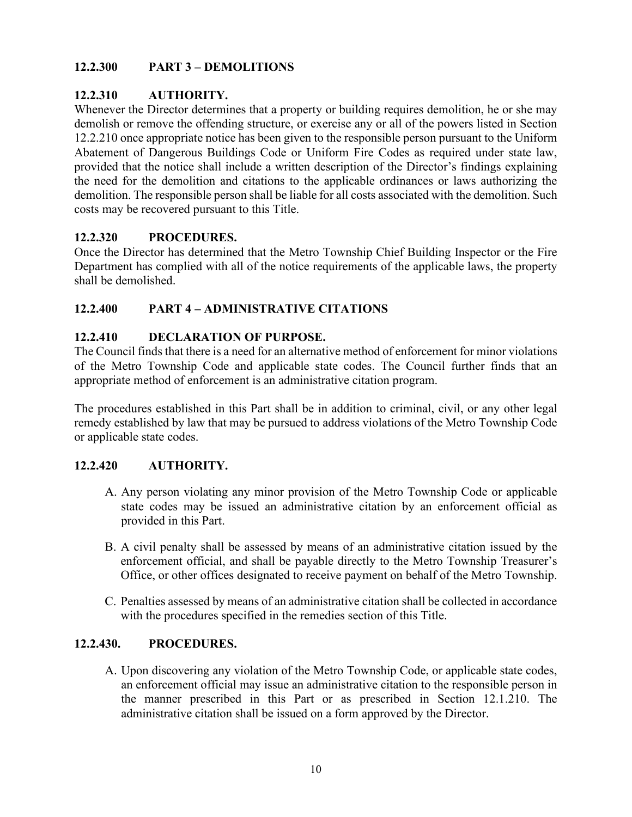### **12.2.300 PART 3 – DEMOLITIONS**

## **12.2.310 AUTHORITY.**

Whenever the Director determines that a property or building requires demolition, he or she may demolish or remove the offending structure, or exercise any or all of the powers listed in Section 12.2.210 once appropriate notice has been given to the responsible person pursuant to the Uniform Abatement of Dangerous Buildings Code or Uniform Fire Codes as required under state law, provided that the notice shall include a written description of the Director's findings explaining the need for the demolition and citations to the applicable ordinances or laws authorizing the demolition. The responsible person shall be liable for all costs associated with the demolition. Such costs may be recovered pursuant to this Title.

### **12.2.320 PROCEDURES.**

Once the Director has determined that the Metro Township Chief Building Inspector or the Fire Department has complied with all of the notice requirements of the applicable laws, the property shall be demolished.

## **12.2.400 PART 4 – ADMINISTRATIVE CITATIONS**

## **12.2.410 DECLARATION OF PURPOSE.**

The Council finds that there is a need for an alternative method of enforcement for minor violations of the Metro Township Code and applicable state codes. The Council further finds that an appropriate method of enforcement is an administrative citation program.

The procedures established in this Part shall be in addition to criminal, civil, or any other legal remedy established by law that may be pursued to address violations of the Metro Township Code or applicable state codes.

### **12.2.420 AUTHORITY.**

- A. Any person violating any minor provision of the Metro Township Code or applicable state codes may be issued an administrative citation by an enforcement official as provided in this Part.
- B. A civil penalty shall be assessed by means of an administrative citation issued by the enforcement official, and shall be payable directly to the Metro Township Treasurer's Office, or other offices designated to receive payment on behalf of the Metro Township.
- C. Penalties assessed by means of an administrative citation shall be collected in accordance with the procedures specified in the remedies section of this Title.

## **12.2.430. PROCEDURES.**

A. Upon discovering any violation of the Metro Township Code, or applicable state codes, an enforcement official may issue an administrative citation to the responsible person in the manner prescribed in this Part or as prescribed in Section [12.1.210.](https://westvalleycity.municipal.codes/Code/10-1-201) The administrative citation shall be issued on a form approved by the Director.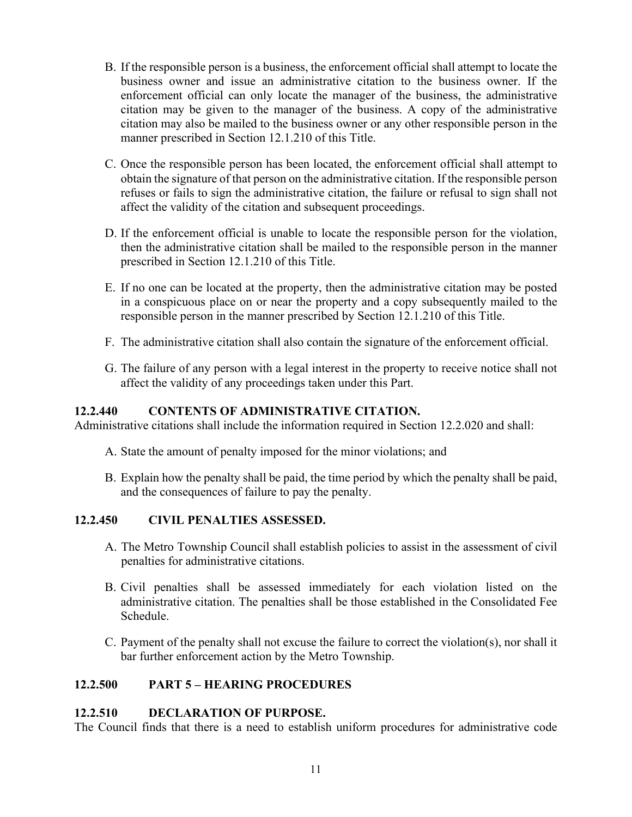- B. If the responsible person is a business, the enforcement official shall attempt to locate the business owner and issue an administrative citation to the business owner. If the enforcement official can only locate the manager of the business, the administrative citation may be given to the manager of the business. A copy of the administrative citation may also be mailed to the business owner or any other responsible person in the manner prescribed in Section [12.1.210](https://westvalleycity.municipal.codes/Code/10-1-201) of this Title.
- C. Once the responsible person has been located, the enforcement official shall attempt to obtain the signature of that person on the administrative citation. If the responsible person refuses or fails to sign the administrative citation, the failure or refusal to sign shall not affect the validity of the citation and subsequent proceedings.
- D. If the enforcement official is unable to locate the responsible person for the violation, then the administrative citation shall be mailed to the responsible person in the manner prescribed in Section [12.1.210](https://westvalleycity.municipal.codes/Code/10-1-201) of this Title.
- E. If no one can be located at the property, then the administrative citation may be posted in a conspicuous place on or near the property and a copy subsequently mailed to the responsible person in the manner prescribed by Section [12.1.210](https://westvalleycity.municipal.codes/Code/10-1-201) of this Title.
- F. The administrative citation shall also contain the signature of the enforcement official.
- G. The failure of any person with a legal interest in the property to receive notice shall not affect the validity of any proceedings taken under this Part.

### **12.2.440 CONTENTS OF ADMINISTRATIVE CITATION.**

Administrative citations shall include the information required in Section 12.2.020 and shall:

- A. State the amount of penalty imposed for the minor violations; and
- B. Explain how the penalty shall be paid, the time period by which the penalty shall be paid, and the consequences of failure to pay the penalty.

#### **12.2.450 CIVIL PENALTIES ASSESSED.**

- A. The Metro Township Council shall establish policies to assist in the assessment of civil penalties for administrative citations.
- B. Civil penalties shall be assessed immediately for each violation listed on the administrative citation. The penalties shall be those established in the Consolidated Fee Schedule.
- C. Payment of the penalty shall not excuse the failure to correct the violation(s), nor shall it bar further enforcement action by the Metro Township.

#### **12.2.500 PART 5 – HEARING PROCEDURES**

#### **12.2.510 DECLARATION OF PURPOSE.**

The Council finds that there is a need to establish uniform procedures for administrative code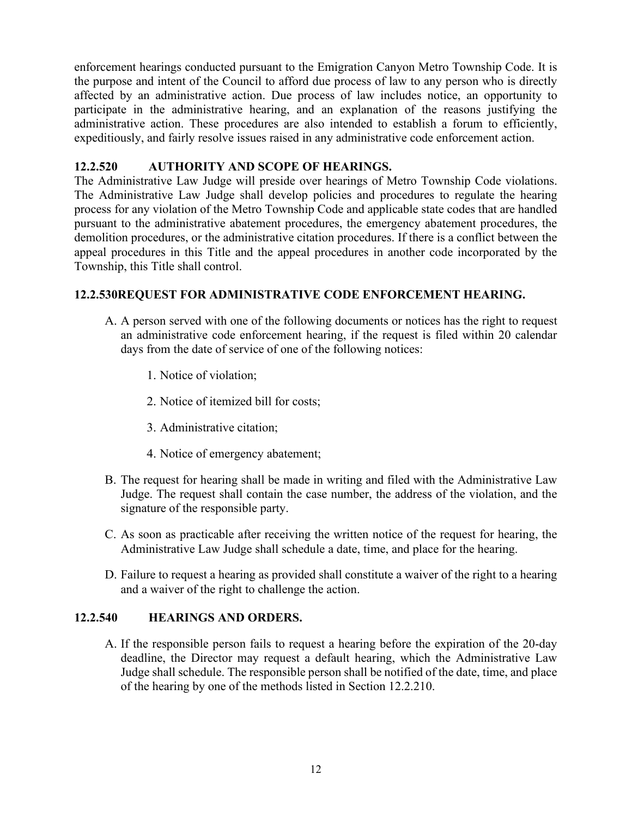enforcement hearings conducted pursuant to the Emigration Canyon Metro Township Code. It is the purpose and intent of the Council to afford due process of law to any person who is directly affected by an administrative action. Due process of law includes notice, an opportunity to participate in the administrative hearing, and an explanation of the reasons justifying the administrative action. These procedures are also intended to establish a forum to efficiently, expeditiously, and fairly resolve issues raised in any administrative code enforcement action.

## **12.2.520 AUTHORITY AND SCOPE OF HEARINGS.**

The Administrative Law Judge will preside over hearings of Metro Township Code violations. The Administrative Law Judge shall develop policies and procedures to regulate the hearing process for any violation of the Metro Township Code and applicable state codes that are handled pursuant to the administrative abatement procedures, the emergency abatement procedures, the demolition procedures, or the administrative citation procedures. If there is a conflict between the appeal procedures in this Title and the appeal procedures in another code incorporated by the Township, this Title shall control.

### <span id="page-17-0"></span>**12.2.530REQUEST FOR ADMINISTRATIVE CODE ENFORCEMENT HEARING.**

- A. A person served with one of the following documents or notices has the right to request an administrative code enforcement hearing, if the request is filed within 20 calendar days from the date of service of one of the following notices:
	- 1. Notice of violation;
	- 2. Notice of itemized bill for costs;
	- 3. Administrative citation;
	- 4. Notice of emergency abatement;
- B. The request for hearing shall be made in writing and filed with the Administrative Law Judge. The request shall contain the case number, the address of the violation, and the signature of the responsible party.
- C. As soon as practicable after receiving the written notice of the request for hearing, the Administrative Law Judge shall schedule a date, time, and place for the hearing.
- D. Failure to request a hearing as provided shall constitute a waiver of the right to a hearing and a waiver of the right to challenge the action.

#### **12.2.540 HEARINGS AND ORDERS.**

A. If the responsible person fails to request a hearing before the expiration of the 20-day deadline, the Director may request a default hearing, which the Administrative Law Judge shall schedule. The responsible person shall be notified of the date, time, and place of the hearing by one of the methods listed in Section [12.2.210.](#page-14-0)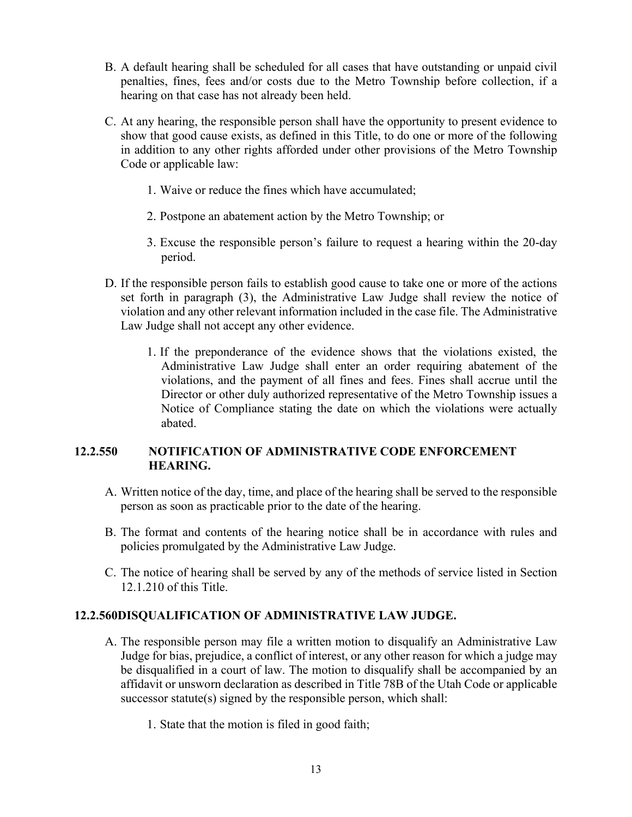- B. A default hearing shall be scheduled for all cases that have outstanding or unpaid civil penalties, fines, fees and/or costs due to the Metro Township before collection, if a hearing on that case has not already been held.
- C. At any hearing, the responsible person shall have the opportunity to present evidence to show that good cause exists, as defined in this Title, to do one or more of the following in addition to any other rights afforded under other provisions of the Metro Township Code or applicable law:
	- 1. Waive or reduce the fines which have accumulated;
	- 2. Postpone an abatement action by the Metro Township; or
	- 3. Excuse the responsible person's failure to request a hearing within the 20-day period.
- D. If the responsible person fails to establish good cause to take one or more of the actions set forth in paragraph (3), the Administrative Law Judge shall review the notice of violation and any other relevant information included in the case file. The Administrative Law Judge shall not accept any other evidence.
	- 1. If the preponderance of the evidence shows that the violations existed, the Administrative Law Judge shall enter an order requiring abatement of the violations, and the payment of all fines and fees. Fines shall accrue until the Director or other duly authorized representative of the Metro Township issues a Notice of Compliance stating the date on which the violations were actually abated.

### **12.2.550 NOTIFICATION OF ADMINISTRATIVE CODE ENFORCEMENT HEARING.**

- A. Written notice of the day, time, and place of the hearing shall be served to the responsible person as soon as practicable prior to the date of the hearing.
- B. The format and contents of the hearing notice shall be in accordance with rules and policies promulgated by the Administrative Law Judge.
- C. The notice of hearing shall be served by any of the methods of service listed in Section [12.1.210](https://westvalleycity.municipal.codes/Code/10-1-201) of this Title.

### **12.2.560DISQUALIFICATION OF ADMINISTRATIVE LAW JUDGE.**

- A. The responsible person may file a written motion to disqualify an Administrative Law Judge for bias, prejudice, a conflict of interest, or any other reason for which a judge may be disqualified in a court of law. The motion to disqualify shall be accompanied by an affidavit or unsworn declaration as described in Title 78B of the Utah Code or applicable successor statute(s) signed by the responsible person, which shall:
	- 1. State that the motion is filed in good faith;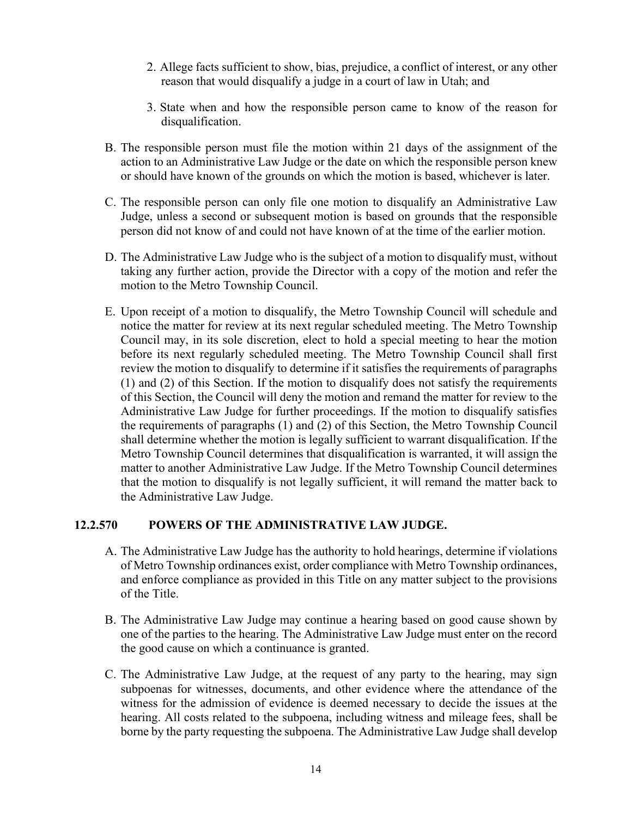- 2. Allege facts sufficient to show, bias, prejudice, a conflict of interest, or any other reason that would disqualify a judge in a court of law in Utah; and
- 3. State when and how the responsible person came to know of the reason for disqualification.
- B. The responsible person must file the motion within 21 days of the assignment of the action to an Administrative Law Judge or the date on which the responsible person knew or should have known of the grounds on which the motion is based, whichever is later.
- C. The responsible person can only file one motion to disqualify an Administrative Law Judge, unless a second or subsequent motion is based on grounds that the responsible person did not know of and could not have known of at the time of the earlier motion.
- D. The Administrative Law Judge who is the subject of a motion to disqualify must, without taking any further action, provide the Director with a copy of the motion and refer the motion to the Metro Township Council.
- E. Upon receipt of a motion to disqualify, the Metro Township Council will schedule and notice the matter for review at its next regular scheduled meeting. The Metro Township Council may, in its sole discretion, elect to hold a special meeting to hear the motion before its next regularly scheduled meeting. The Metro Township Council shall first review the motion to disqualify to determine if it satisfies the requirements of paragraphs (1) and (2) of this Section. If the motion to disqualify does not satisfy the requirements of this Section, the Council will deny the motion and remand the matter for review to the Administrative Law Judge for further proceedings. If the motion to disqualify satisfies the requirements of paragraphs (1) and (2) of this Section, the Metro Township Council shall determine whether the motion is legally sufficient to warrant disqualification. If the Metro Township Council determines that disqualification is warranted, it will assign the matter to another Administrative Law Judge. If the Metro Township Council determines that the motion to disqualify is not legally sufficient, it will remand the matter back to the Administrative Law Judge.

#### **12.2.570 POWERS OF THE ADMINISTRATIVE LAW JUDGE.**

- A. The Administrative Law Judge has the authority to hold hearings, determine if violations of Metro Township ordinances exist, order compliance with Metro Township ordinances, and enforce compliance as provided in this Title on any matter subject to the provisions of the Title.
- B. The Administrative Law Judge may continue a hearing based on good cause shown by one of the parties to the hearing. The Administrative Law Judge must enter on the record the good cause on which a continuance is granted.
- C. The Administrative Law Judge, at the request of any party to the hearing, may sign subpoenas for witnesses, documents, and other evidence where the attendance of the witness for the admission of evidence is deemed necessary to decide the issues at the hearing. All costs related to the subpoena, including witness and mileage fees, shall be borne by the party requesting the subpoena. The Administrative Law Judge shall develop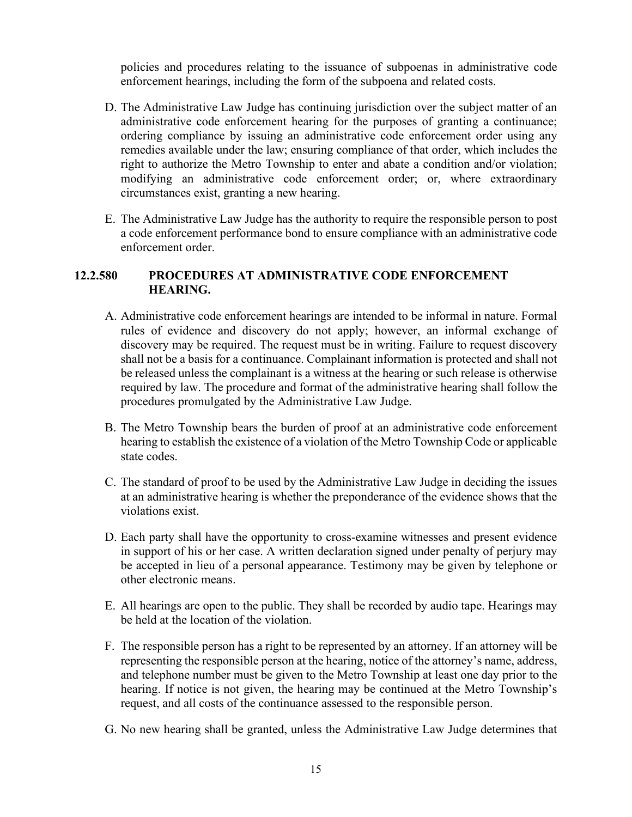policies and procedures relating to the issuance of subpoenas in administrative code enforcement hearings, including the form of the subpoena and related costs.

- D. The Administrative Law Judge has continuing jurisdiction over the subject matter of an administrative code enforcement hearing for the purposes of granting a continuance; ordering compliance by issuing an administrative code enforcement order using any remedies available under the law; ensuring compliance of that order, which includes the right to authorize the Metro Township to enter and abate a condition and/or violation; modifying an administrative code enforcement order; or, where extraordinary circumstances exist, granting a new hearing.
- E. The Administrative Law Judge has the authority to require the responsible person to post a code enforcement performance bond to ensure compliance with an administrative code enforcement order.

#### **12.2.580 PROCEDURES AT ADMINISTRATIVE CODE ENFORCEMENT HEARING.**

- A. Administrative code enforcement hearings are intended to be informal in nature. Formal rules of evidence and discovery do not apply; however, an informal exchange of discovery may be required. The request must be in writing. Failure to request discovery shall not be a basis for a continuance. Complainant information is protected and shall not be released unless the complainant is a witness at the hearing or such release is otherwise required by law. The procedure and format of the administrative hearing shall follow the procedures promulgated by the Administrative Law Judge.
- B. The Metro Township bears the burden of proof at an administrative code enforcement hearing to establish the existence of a violation of the Metro Township Code or applicable state codes.
- C. The standard of proof to be used by the Administrative Law Judge in deciding the issues at an administrative hearing is whether the preponderance of the evidence shows that the violations exist.
- D. Each party shall have the opportunity to cross-examine witnesses and present evidence in support of his or her case. A written declaration signed under penalty of perjury may be accepted in lieu of a personal appearance. Testimony may be given by telephone or other electronic means.
- E. All hearings are open to the public. They shall be recorded by audio tape. Hearings may be held at the location of the violation.
- F. The responsible person has a right to be represented by an attorney. If an attorney will be representing the responsible person at the hearing, notice of the attorney's name, address, and telephone number must be given to the Metro Township at least one day prior to the hearing. If notice is not given, the hearing may be continued at the Metro Township's request, and all costs of the continuance assessed to the responsible person.
- G. No new hearing shall be granted, unless the Administrative Law Judge determines that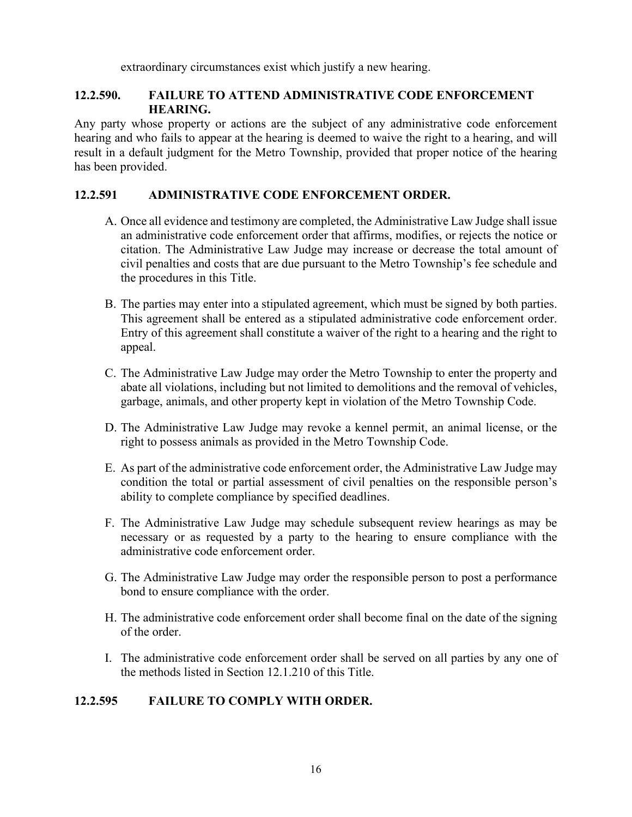extraordinary circumstances exist which justify a new hearing.

### **12.2.590. FAILURE TO ATTEND ADMINISTRATIVE CODE ENFORCEMENT HEARING.**

Any party whose property or actions are the subject of any administrative code enforcement hearing and who fails to appear at the hearing is deemed to waive the right to a hearing, and will result in a default judgment for the Metro Township, provided that proper notice of the hearing has been provided.

### **12.2.591 ADMINISTRATIVE CODE ENFORCEMENT ORDER.**

- A. Once all evidence and testimony are completed, the Administrative Law Judge shall issue an administrative code enforcement order that affirms, modifies, or rejects the notice or citation. The Administrative Law Judge may increase or decrease the total amount of civil penalties and costs that are due pursuant to the Metro Township's fee schedule and the procedures in this Title.
- B. The parties may enter into a stipulated agreement, which must be signed by both parties. This agreement shall be entered as a stipulated administrative code enforcement order. Entry of this agreement shall constitute a waiver of the right to a hearing and the right to appeal.
- C. The Administrative Law Judge may order the Metro Township to enter the property and abate all violations, including but not limited to demolitions and the removal of vehicles, garbage, animals, and other property kept in violation of the Metro Township Code.
- D. The Administrative Law Judge may revoke a kennel permit, an animal license, or the right to possess animals as provided in the Metro Township Code.
- E. As part of the administrative code enforcement order, the Administrative Law Judge may condition the total or partial assessment of civil penalties on the responsible person's ability to complete compliance by specified deadlines.
- F. The Administrative Law Judge may schedule subsequent review hearings as may be necessary or as requested by a party to the hearing to ensure compliance with the administrative code enforcement order.
- G. The Administrative Law Judge may order the responsible person to post a performance bond to ensure compliance with the order.
- H. The administrative code enforcement order shall become final on the date of the signing of the order.
- I. The administrative code enforcement order shall be served on all parties by any one of the methods listed in Section [12.1.210](https://westvalleycity.municipal.codes/Code/10-1-201) of this Title.

### **12.2.595 FAILURE TO COMPLY WITH ORDER.**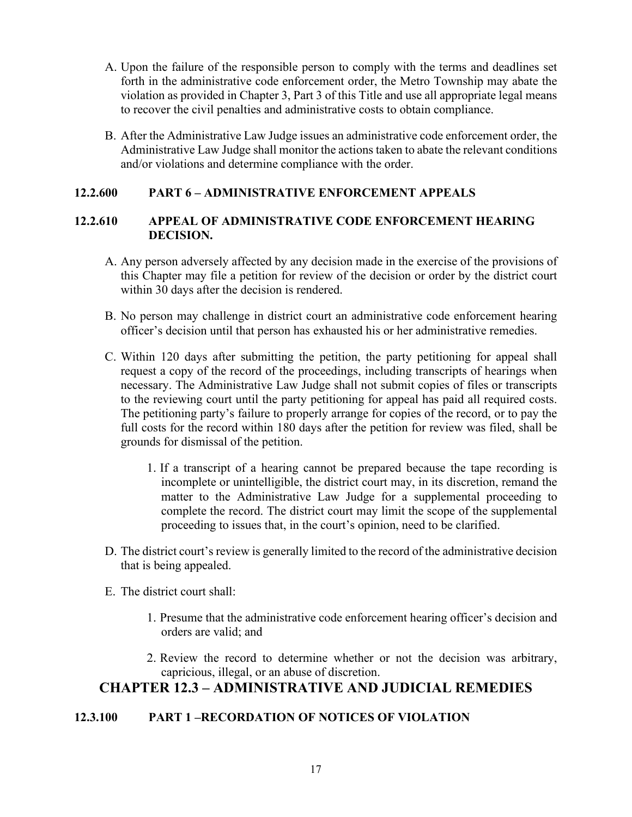- A. Upon the failure of the responsible person to comply with the terms and deadlines set forth in the administrative code enforcement order, the Metro Township may abate the violation as provided in Chapter 3, Part 3 of this Title and use all appropriate legal means to recover the civil penalties and administrative costs to obtain compliance.
- B. After the Administrative Law Judge issues an administrative code enforcement order, the Administrative Law Judge shall monitor the actions taken to abate the relevant conditions and/or violations and determine compliance with the order.

### **12.2.600 PART 6 – ADMINISTRATIVE ENFORCEMENT APPEALS**

#### **12.2.610 APPEAL OF ADMINISTRATIVE CODE ENFORCEMENT HEARING DECISION.**

- A. Any person adversely affected by any decision made in the exercise of the provisions of this Chapter may file a petition for review of the decision or order by the district court within 30 days after the decision is rendered.
- B. No person may challenge in district court an administrative code enforcement hearing officer's decision until that person has exhausted his or her administrative remedies.
- C. Within 120 days after submitting the petition, the party petitioning for appeal shall request a copy of the record of the proceedings, including transcripts of hearings when necessary. The Administrative Law Judge shall not submit copies of files or transcripts to the reviewing court until the party petitioning for appeal has paid all required costs. The petitioning party's failure to properly arrange for copies of the record, or to pay the full costs for the record within 180 days after the petition for review was filed, shall be grounds for dismissal of the petition.
	- 1. If a transcript of a hearing cannot be prepared because the tape recording is incomplete or unintelligible, the district court may, in its discretion, remand the matter to the Administrative Law Judge for a supplemental proceeding to complete the record. The district court may limit the scope of the supplemental proceeding to issues that, in the court's opinion, need to be clarified.
- D. The district court's review is generally limited to the record of the administrative decision that is being appealed.
- E. The district court shall:
	- 1. Presume that the administrative code enforcement hearing officer's decision and orders are valid; and
	- 2. Review the record to determine whether or not the decision was arbitrary, capricious, illegal, or an abuse of discretion.

## **CHAPTER 12.3 – ADMINISTRATIVE AND JUDICIAL REMEDIES**

### **12.3.100 PART 1 –RECORDATION OF NOTICES OF VIOLATION**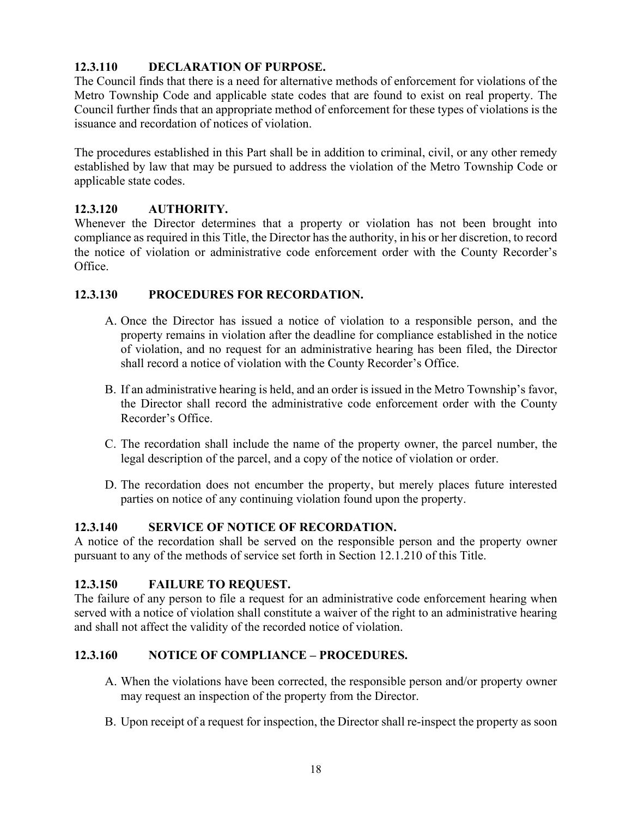## **12.3.110 DECLARATION OF PURPOSE.**

The Council finds that there is a need for alternative methods of enforcement for violations of the Metro Township Code and applicable state codes that are found to exist on real property. The Council further finds that an appropriate method of enforcement for these types of violations is the issuance and recordation of notices of violation.

The procedures established in this Part shall be in addition to criminal, civil, or any other remedy established by law that may be pursued to address the violation of the Metro Township Code or applicable state codes.

### **12.3.120 AUTHORITY.**

Whenever the Director determines that a property or violation has not been brought into compliance as required in this Title, the Director has the authority, in his or her discretion, to record the notice of violation or administrative code enforcement order with the County Recorder's Office.

### **12.3.130 PROCEDURES FOR RECORDATION.**

- A. Once the Director has issued a notice of violation to a responsible person, and the property remains in violation after the deadline for compliance established in the notice of violation, and no request for an administrative hearing has been filed, the Director shall record a notice of violation with the County Recorder's Office.
- B. If an administrative hearing is held, and an order is issued in the Metro Township's favor, the Director shall record the administrative code enforcement order with the County Recorder's Office.
- C. The recordation shall include the name of the property owner, the parcel number, the legal description of the parcel, and a copy of the notice of violation or order.
- D. The recordation does not encumber the property, but merely places future interested parties on notice of any continuing violation found upon the property.

## **12.3.140 SERVICE OF NOTICE OF RECORDATION.**

A notice of the recordation shall be served on the responsible person and the property owner pursuant to any of the methods of service set forth in Section 12.1.210 of this Title.

## **12.3.150 FAILURE TO REQUEST.**

The failure of any person to file a request for an administrative code enforcement hearing when served with a notice of violation shall constitute a waiver of the right to an administrative hearing and shall not affect the validity of the recorded notice of violation.

### **12.3.160 NOTICE OF COMPLIANCE – PROCEDURES.**

- A. When the violations have been corrected, the responsible person and/or property owner may request an inspection of the property from the Director.
- B. Upon receipt of a request for inspection, the Director shall re-inspect the property as soon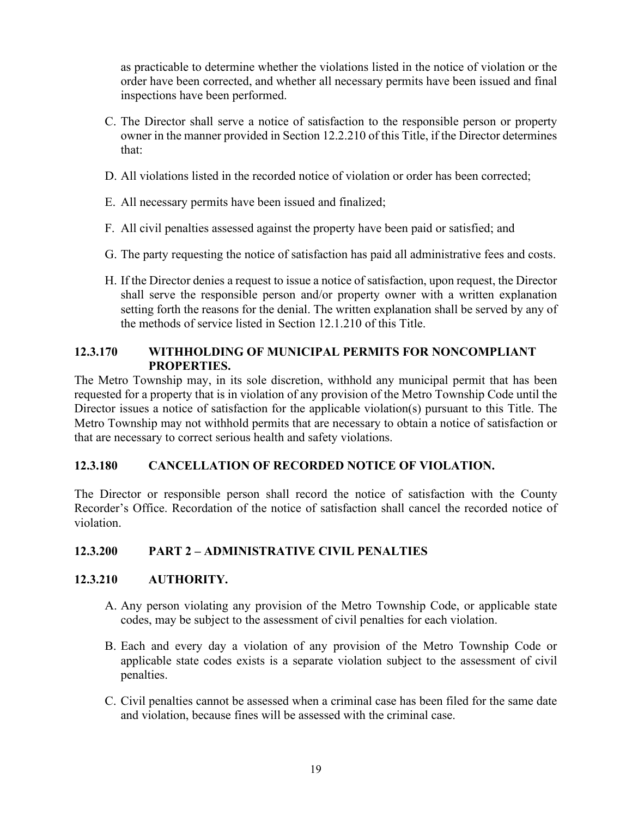as practicable to determine whether the violations listed in the notice of violation or the order have been corrected, and whether all necessary permits have been issued and final inspections have been performed.

- C. The Director shall serve a notice of satisfaction to the responsible person or property owner in the manner provided in Section 12.2.210 of this Title, if the Director determines that:
- D. All violations listed in the recorded notice of violation or order has been corrected;
- E. All necessary permits have been issued and finalized;
- F. All civil penalties assessed against the property have been paid or satisfied; and
- G. The party requesting the notice of satisfaction has paid all administrative fees and costs.
- H. If the Director denies a request to issue a notice of satisfaction, upon request, the Director shall serve the responsible person and/or property owner with a written explanation setting forth the reasons for the denial. The written explanation shall be served by any of the methods of service listed in Section 12.1.210 of this Title.

### **12.3.170 WITHHOLDING OF MUNICIPAL PERMITS FOR NONCOMPLIANT PROPERTIES.**

The Metro Township may, in its sole discretion, withhold any municipal permit that has been requested for a property that is in violation of any provision of the Metro Township Code until the Director issues a notice of satisfaction for the applicable violation(s) pursuant to this Title. The Metro Township may not withhold permits that are necessary to obtain a notice of satisfaction or that are necessary to correct serious health and safety violations.

### **12.3.180 CANCELLATION OF RECORDED NOTICE OF VIOLATION.**

The Director or responsible person shall record the notice of satisfaction with the County Recorder's Office. Recordation of the notice of satisfaction shall cancel the recorded notice of violation.

### **12.3.200 PART 2 – ADMINISTRATIVE CIVIL PENALTIES**

#### **12.3.210 AUTHORITY.**

- A. Any person violating any provision of the Metro Township Code, or applicable state codes, may be subject to the assessment of civil penalties for each violation.
- B. Each and every day a violation of any provision of the Metro Township Code or applicable state codes exists is a separate violation subject to the assessment of civil penalties.
- C. Civil penalties cannot be assessed when a criminal case has been filed for the same date and violation, because fines will be assessed with the criminal case.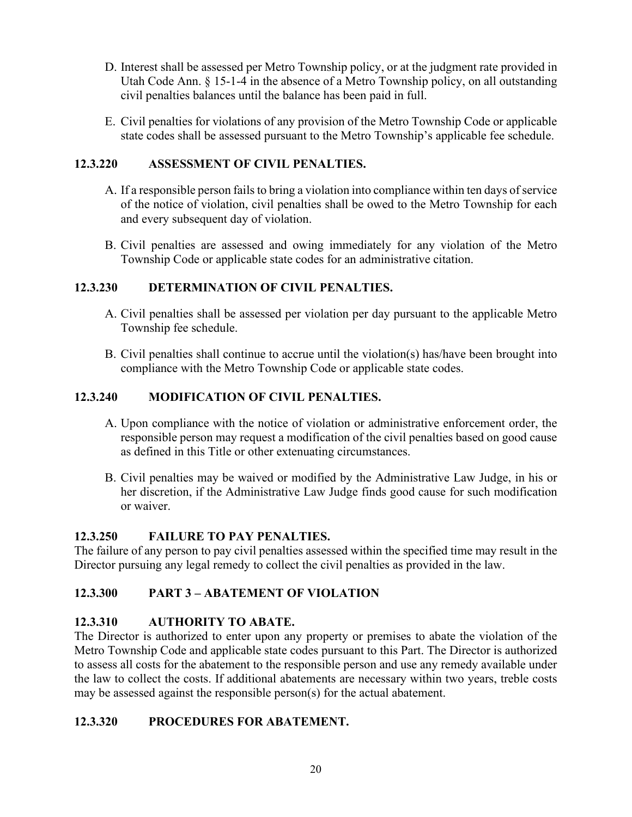- D. Interest shall be assessed per Metro Township policy, or at the judgment rate provided in Utah Code Ann. § 15-1-4 in the absence of a Metro Township policy, on all outstanding civil penalties balances until the balance has been paid in full.
- E. Civil penalties for violations of any provision of the Metro Township Code or applicable state codes shall be assessed pursuant to the Metro Township's applicable fee schedule.

## **12.3.220 ASSESSMENT OF CIVIL PENALTIES.**

- A. If a responsible person fails to bring a violation into compliance within ten days of service of the notice of violation, civil penalties shall be owed to the Metro Township for each and every subsequent day of violation.
- B. Civil penalties are assessed and owing immediately for any violation of the Metro Township Code or applicable state codes for an administrative citation.

## **12.3.230 DETERMINATION OF CIVIL PENALTIES.**

- A. Civil penalties shall be assessed per violation per day pursuant to the applicable Metro Township fee schedule.
- B. Civil penalties shall continue to accrue until the violation(s) has/have been brought into compliance with the Metro Township Code or applicable state codes.

## **12.3.240 MODIFICATION OF CIVIL PENALTIES.**

- A. Upon compliance with the notice of violation or administrative enforcement order, the responsible person may request a modification of the civil penalties based on good cause as defined in this Title or other extenuating circumstances.
- B. Civil penalties may be waived or modified by the Administrative Law Judge, in his or her discretion, if the Administrative Law Judge finds good cause for such modification or waiver.

### **12.3.250 FAILURE TO PAY PENALTIES.**

The failure of any person to pay civil penalties assessed within the specified time may result in the Director pursuing any legal remedy to collect the civil penalties as provided in the law.

## **12.3.300 PART 3 – ABATEMENT OF VIOLATION**

## **12.3.310 AUTHORITY TO ABATE.**

The Director is authorized to enter upon any property or premises to abate the violation of the Metro Township Code and applicable state codes pursuant to this Part. The Director is authorized to assess all costs for the abatement to the responsible person and use any remedy available under the law to collect the costs. If additional abatements are necessary within two years, treble costs may be assessed against the responsible person(s) for the actual abatement.

### **12.3.320 PROCEDURES FOR ABATEMENT.**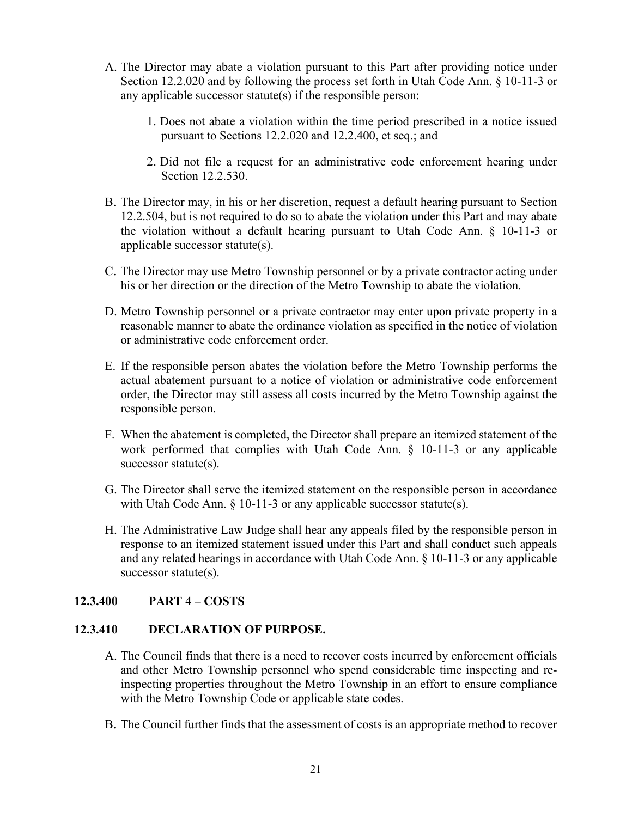- A. The Director may abate a violation pursuant to this Part after providing notice under Section 12.2.020 and by following the process set forth in Utah Code Ann. § 10-11-3 or any applicable successor statute(s) if the responsible person:
	- 1. Does not abate a violation within the time period prescribed in a notice issued pursuant to Sections 12.2.020 and 12.2.400, et seq.; and
	- 2. Did not file a request for an administrative code enforcement hearing under Section 12.2.530.
- B. The Director may, in his or her discretion, request a default hearing pursuant to Section 12.2.504, but is not required to do so to abate the violation under this Part and may abate the violation without a default hearing pursuant to Utah Code Ann. § 10-11-3 or applicable successor statute(s).
- C. The Director may use Metro Township personnel or by a private contractor acting under his or her direction or the direction of the Metro Township to abate the violation.
- D. Metro Township personnel or a private contractor may enter upon private property in a reasonable manner to abate the ordinance violation as specified in the notice of violation or administrative code enforcement order.
- E. If the responsible person abates the violation before the Metro Township performs the actual abatement pursuant to a notice of violation or administrative code enforcement order, the Director may still assess all costs incurred by the Metro Township against the responsible person.
- F. When the abatement is completed, the Director shall prepare an itemized statement of the work performed that complies with Utah Code Ann. § 10-11-3 or any applicable successor statute(s).
- G. The Director shall serve the itemized statement on the responsible person in accordance with Utah Code Ann. § 10-11-3 or any applicable successor statute(s).
- H. The Administrative Law Judge shall hear any appeals filed by the responsible person in response to an itemized statement issued under this Part and shall conduct such appeals and any related hearings in accordance with Utah Code Ann. § 10-11-3 or any applicable successor statute(s).

#### **12.3.400 PART 4 – COSTS**

#### **12.3.410 DECLARATION OF PURPOSE.**

- A. The Council finds that there is a need to recover costs incurred by enforcement officials and other Metro Township personnel who spend considerable time inspecting and reinspecting properties throughout the Metro Township in an effort to ensure compliance with the Metro Township Code or applicable state codes.
- B. The Council further finds that the assessment of costs is an appropriate method to recover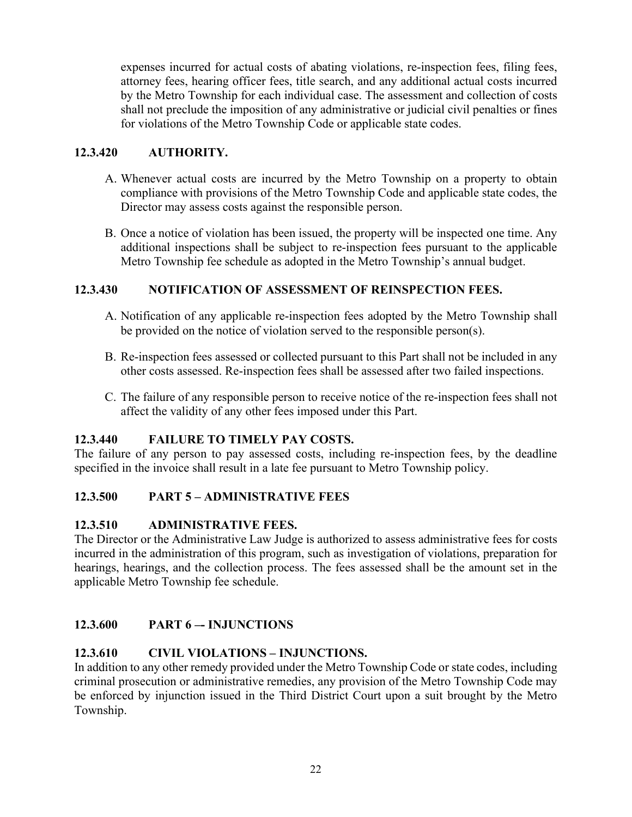expenses incurred for actual costs of abating violations, re-inspection fees, filing fees, attorney fees, hearing officer fees, title search, and any additional actual costs incurred by the Metro Township for each individual case. The assessment and collection of costs shall not preclude the imposition of any administrative or judicial civil penalties or fines for violations of the Metro Township Code or applicable state codes.

## **12.3.420 AUTHORITY.**

- A. Whenever actual costs are incurred by the Metro Township on a property to obtain compliance with provisions of the Metro Township Code and applicable state codes, the Director may assess costs against the responsible person.
- B. Once a notice of violation has been issued, the property will be inspected one time. Any additional inspections shall be subject to re-inspection fees pursuant to the applicable Metro Township fee schedule as adopted in the Metro Township's annual budget.

### **12.3.430 NOTIFICATION OF ASSESSMENT OF REINSPECTION FEES.**

- A. Notification of any applicable re-inspection fees adopted by the Metro Township shall be provided on the notice of violation served to the responsible person(s).
- B. Re-inspection fees assessed or collected pursuant to this Part shall not be included in any other costs assessed. Re-inspection fees shall be assessed after two failed inspections.
- C. The failure of any responsible person to receive notice of the re-inspection fees shall not affect the validity of any other fees imposed under this Part.

### **12.3.440 FAILURE TO TIMELY PAY COSTS.**

The failure of any person to pay assessed costs, including re-inspection fees, by the deadline specified in the invoice shall result in a late fee pursuant to Metro Township policy.

## **12.3.500 PART 5 – ADMINISTRATIVE FEES**

### **12.3.510 ADMINISTRATIVE FEES.**

The Director or the Administrative Law Judge is authorized to assess administrative fees for costs incurred in the administration of this program, such as investigation of violations, preparation for hearings, hearings, and the collection process. The fees assessed shall be the amount set in the applicable Metro Township fee schedule.

## **12.3.600 PART 6 –- INJUNCTIONS**

## **12.3.610 CIVIL VIOLATIONS – INJUNCTIONS.**

In addition to any other remedy provided under the Metro Township Code or state codes, including criminal prosecution or administrative remedies, any provision of the Metro Township Code may be enforced by injunction issued in the Third District Court upon a suit brought by the Metro Township.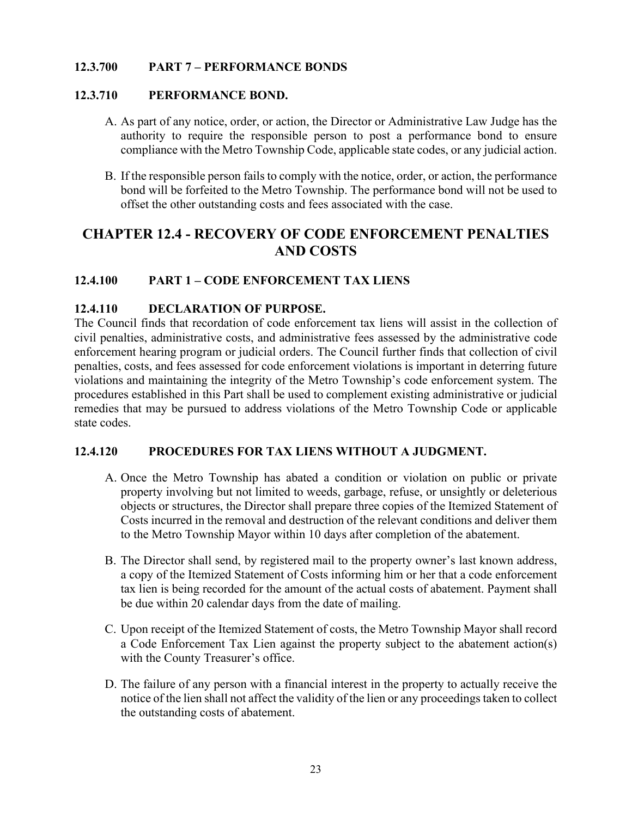### **12.3.700 PART 7 – PERFORMANCE BONDS**

#### **12.3.710 PERFORMANCE BOND.**

- A. As part of any notice, order, or action, the Director or Administrative Law Judge has the authority to require the responsible person to post a performance bond to ensure compliance with the Metro Township Code, applicable state codes, or any judicial action.
- B. If the responsible person fails to comply with the notice, order, or action, the performance bond will be forfeited to the Metro Township. The performance bond will not be used to offset the other outstanding costs and fees associated with the case.

## **CHAPTER 12.4 - RECOVERY OF CODE ENFORCEMENT PENALTIES AND COSTS**

### **12.4.100 PART 1 – CODE ENFORCEMENT TAX LIENS**

### **12.4.110 DECLARATION OF PURPOSE.**

The Council finds that recordation of code enforcement tax liens will assist in the collection of civil penalties, administrative costs, and administrative fees assessed by the administrative code enforcement hearing program or judicial orders. The Council further finds that collection of civil penalties, costs, and fees assessed for code enforcement violations is important in deterring future violations and maintaining the integrity of the Metro Township's code enforcement system. The procedures established in this Part shall be used to complement existing administrative or judicial remedies that may be pursued to address violations of the Metro Township Code or applicable state codes.

#### **12.4.120 PROCEDURES FOR TAX LIENS WITHOUT A JUDGMENT.**

- A. Once the Metro Township has abated a condition or violation on public or private property involving but not limited to weeds, garbage, refuse, or unsightly or deleterious objects or structures, the Director shall prepare three copies of the Itemized Statement of Costs incurred in the removal and destruction of the relevant conditions and deliver them to the Metro Township Mayor within 10 days after completion of the abatement.
- B. The Director shall send, by registered mail to the property owner's last known address, a copy of the Itemized Statement of Costs informing him or her that a code enforcement tax lien is being recorded for the amount of the actual costs of abatement. Payment shall be due within 20 calendar days from the date of mailing.
- C. Upon receipt of the Itemized Statement of costs, the Metro Township Mayor shall record a Code Enforcement Tax Lien against the property subject to the abatement action(s) with the County Treasurer's office.
- D. The failure of any person with a financial interest in the property to actually receive the notice of the lien shall not affect the validity of the lien or any proceedings taken to collect the outstanding costs of abatement.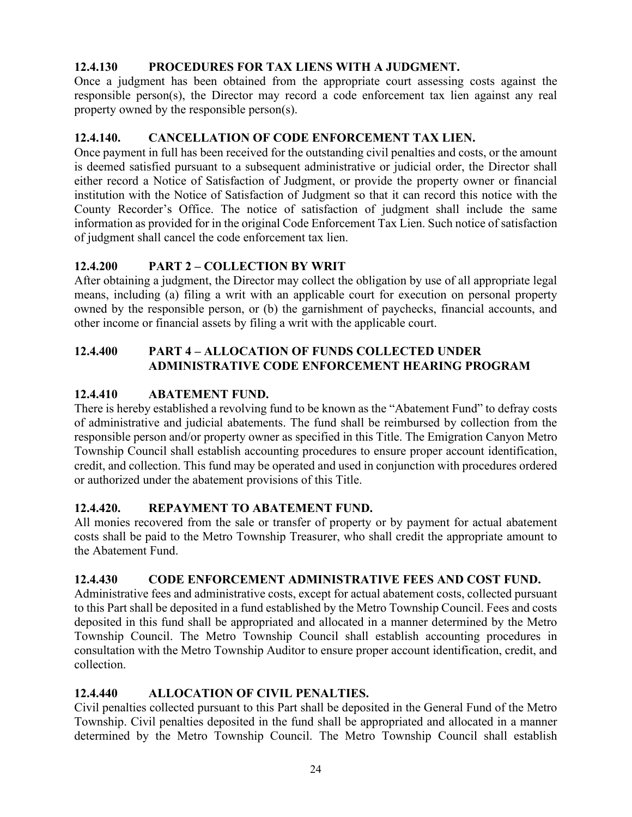## **12.4.130 PROCEDURES FOR TAX LIENS WITH A JUDGMENT.**

Once a judgment has been obtained from the appropriate court assessing costs against the responsible person(s), the Director may record a code enforcement tax lien against any real property owned by the responsible person(s).

## **12.4.140. CANCELLATION OF CODE ENFORCEMENT TAX LIEN.**

Once payment in full has been received for the outstanding civil penalties and costs, or the amount is deemed satisfied pursuant to a subsequent administrative or judicial order, the Director shall either record a Notice of Satisfaction of Judgment, or provide the property owner or financial institution with the Notice of Satisfaction of Judgment so that it can record this notice with the County Recorder's Office. The notice of satisfaction of judgment shall include the same information as provided for in the original Code Enforcement Tax Lien. Such notice of satisfaction of judgment shall cancel the code enforcement tax lien.

## **12.4.200 PART 2 – COLLECTION BY WRIT**

After obtaining a judgment, the Director may collect the obligation by use of all appropriate legal means, including (a) filing a writ with an applicable court for execution on personal property owned by the responsible person, or (b) the garnishment of paychecks, financial accounts, and other income or financial assets by filing a writ with the applicable court.

## **12.4.400 PART 4 – ALLOCATION OF FUNDS COLLECTED UNDER ADMINISTRATIVE CODE ENFORCEMENT HEARING PROGRAM**

## **12.4.410 ABATEMENT FUND.**

There is hereby established a revolving fund to be known as the "Abatement Fund" to defray costs of administrative and judicial abatements. The fund shall be reimbursed by collection from the responsible person and/or property owner as specified in this Title. The Emigration Canyon Metro Township Council shall establish accounting procedures to ensure proper account identification, credit, and collection. This fund may be operated and used in conjunction with procedures ordered or authorized under the abatement provisions of this Title.

## **12.4.420. REPAYMENT TO ABATEMENT FUND.**

All monies recovered from the sale or transfer of property or by payment for actual abatement costs shall be paid to the Metro Township Treasurer, who shall credit the appropriate amount to the Abatement Fund.

## **12.4.430 CODE ENFORCEMENT ADMINISTRATIVE FEES AND COST FUND.**

Administrative fees and administrative costs, except for actual abatement costs, collected pursuant to this Part shall be deposited in a fund established by the Metro Township Council. Fees and costs deposited in this fund shall be appropriated and allocated in a manner determined by the Metro Township Council. The Metro Township Council shall establish accounting procedures in consultation with the Metro Township Auditor to ensure proper account identification, credit, and collection.

## **12.4.440 ALLOCATION OF CIVIL PENALTIES.**

Civil penalties collected pursuant to this Part shall be deposited in the General Fund of the Metro Township. Civil penalties deposited in the fund shall be appropriated and allocated in a manner determined by the Metro Township Council. The Metro Township Council shall establish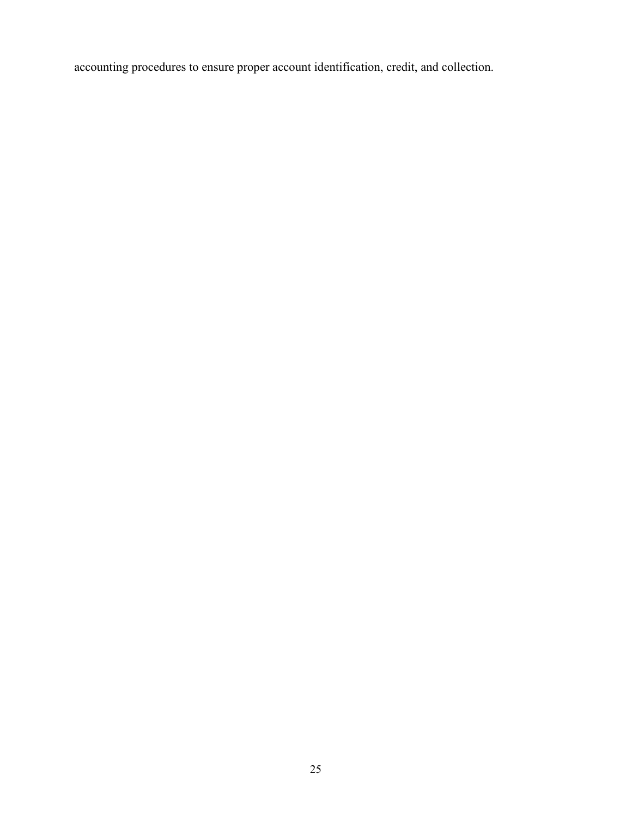accounting procedures to ensure proper account identification, credit, and collection.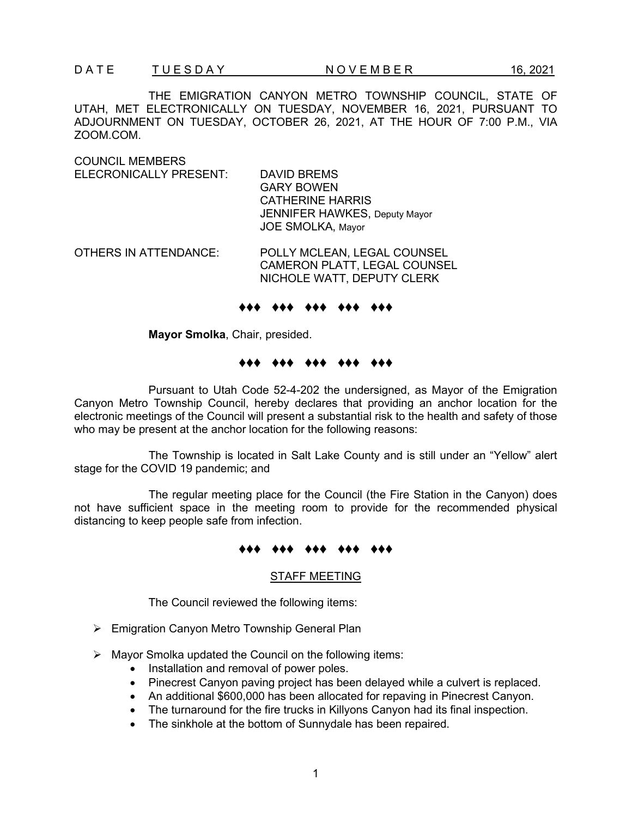DA TUESDAY NOVEMBER 16, 2021

THE EMIGRATION CANYON METRO TOWNSHIP COUNCIL, STATE OF UTAH, MET ELECTRONICALLY ON TUESDAY, NOVEMBER 16, 2021, PURSUANT TO ADJOURNMENT ON TUESDAY, OCTOBER 26, 2021, AT THE HOUR OF 7:00 P.M., VIA ZOOM.COM.

### COUNCIL MEMBERS ELECRONICALLY PRESENT: DAVID BREMS GARY BOWEN CATHERINE HARRIS JENNIFER HAWKES, Deputy Mayor JOE SMOLKA, Mayor OTHERS IN ATTENDANCE: POLLY MCLEAN, LEGAL COUNSEL CAMERON PLATT, LEGAL COUNSEL NICHOLE WATT, DEPUTY CLERK

♦♦♦ ♦♦♦ ♦♦♦ ♦♦♦ ♦♦♦

**Mayor Smolka**, Chair, presided.

### ♦♦♦ ♦♦♦ ♦♦♦ ♦♦♦ ♦♦♦

Pursuant to Utah Code 52-4-202 the undersigned, as Mayor of the Emigration Canyon Metro Township Council, hereby declares that providing an anchor location for the electronic meetings of the Council will present a substantial risk to the health and safety of those who may be present at the anchor location for the following reasons:

The Township is located in Salt Lake County and is still under an "Yellow" alert stage for the COVID 19 pandemic; and

The regular meeting place for the Council (the Fire Station in the Canyon) does not have sufficient space in the meeting room to provide for the recommended physical distancing to keep people safe from infection.

### ♦♦♦ ♦♦♦ ♦♦♦ ♦♦♦ ♦♦♦

#### STAFF MEETING

The Council reviewed the following items:

- Emigration Canyon Metro Township General Plan
- $\triangleright$  Mayor Smolka updated the Council on the following items:
	- Installation and removal of power poles.
	- Pinecrest Canyon paving project has been delayed while a culvert is replaced.
	- An additional \$600,000 has been allocated for repaving in Pinecrest Canyon.
	- The turnaround for the fire trucks in Killyons Canyon had its final inspection.
	- The sinkhole at the bottom of Sunnydale has been repaired.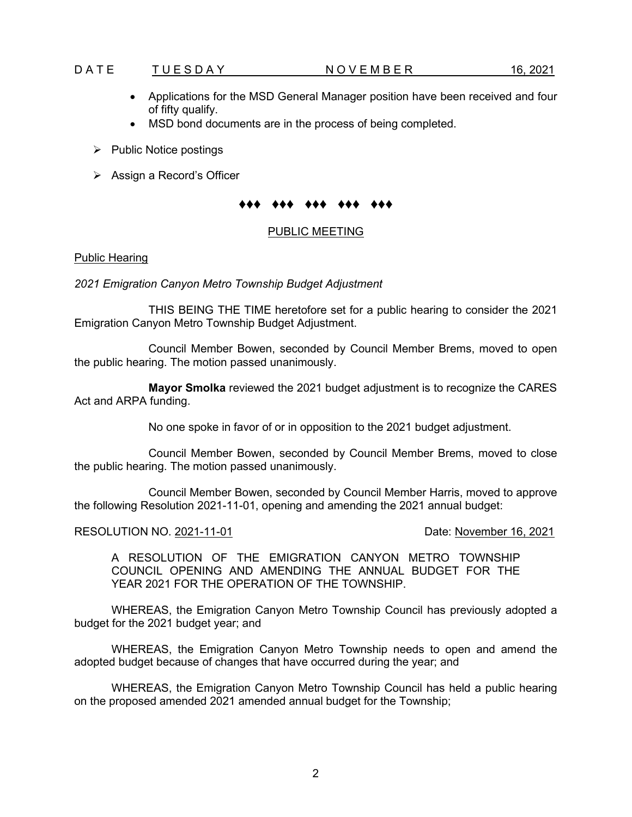- Applications for the MSD General Manager position have been received and four of fifty qualify.
- MSD bond documents are in the process of being completed.
- $\triangleright$  Public Notice postings
- > Assign a Record's Officer

#### ♦♦♦ ♦♦♦ ♦♦♦ ♦♦♦ ♦♦♦

#### PUBLIC MEETING

#### Public Hearing

*2021 Emigration Canyon Metro Township Budget Adjustment*

THIS BEING THE TIME heretofore set for a public hearing to consider the 2021 Emigration Canyon Metro Township Budget Adjustment.

Council Member Bowen, seconded by Council Member Brems, moved to open the public hearing. The motion passed unanimously.

**Mayor Smolka** reviewed the 2021 budget adjustment is to recognize the CARES Act and ARPA funding.

No one spoke in favor of or in opposition to the 2021 budget adjustment.

Council Member Bowen, seconded by Council Member Brems, moved to close the public hearing. The motion passed unanimously.

Council Member Bowen, seconded by Council Member Harris, moved to approve the following Resolution 2021-11-01, opening and amending the 2021 annual budget:

#### RESOLUTION NO. 2021-11-01 **Date: November 16, 2021**

A RESOLUTION OF THE EMIGRATION CANYON METRO TOWNSHIP COUNCIL OPENING AND AMENDING THE ANNUAL BUDGET FOR THE YEAR 2021 FOR THE OPERATION OF THE TOWNSHIP.

WHEREAS, the Emigration Canyon Metro Township Council has previously adopted a budget for the 2021 budget year; and

WHEREAS, the Emigration Canyon Metro Township needs to open and amend the adopted budget because of changes that have occurred during the year; and

WHEREAS, the Emigration Canyon Metro Township Council has held a public hearing on the proposed amended 2021 amended annual budget for the Township;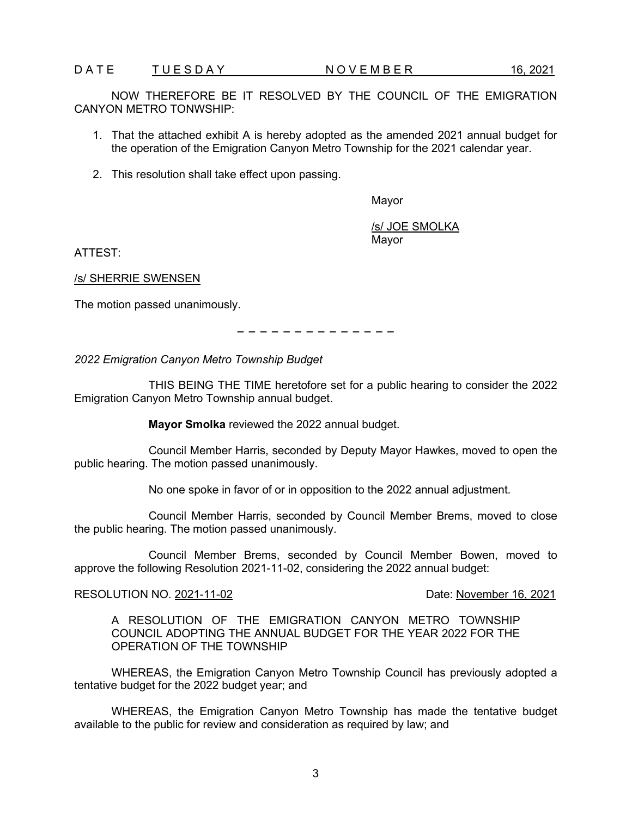NOW THEREFORE BE IT RESOLVED BY THE COUNCIL OF THE EMIGRATION CANYON METRO TONWSHIP:

- 1. That the attached exhibit A is hereby adopted as the amended 2021 annual budget for the operation of the Emigration Canyon Metro Township for the 2021 calendar year.
- 2. This resolution shall take effect upon passing.

Mayor

/s/ JOE SMOLKA Mayor

ATTEST:

/s/ SHERRIE SWENSEN

The motion passed unanimously.

− − − − − − − − − − − − − −

*2022 Emigration Canyon Metro Township Budget*

THIS BEING THE TIME heretofore set for a public hearing to consider the 2022 Emigration Canyon Metro Township annual budget.

**Mayor Smolka** reviewed the 2022 annual budget.

Council Member Harris, seconded by Deputy Mayor Hawkes, moved to open the public hearing. The motion passed unanimously.

No one spoke in favor of or in opposition to the 2022 annual adjustment.

Council Member Harris, seconded by Council Member Brems, moved to close the public hearing. The motion passed unanimously.

Council Member Brems, seconded by Council Member Bowen, moved to approve the following Resolution 2021-11-02, considering the 2022 annual budget:

RESOLUTION NO. 2021-11-02 Date: November 16, 2021

A RESOLUTION OF THE EMIGRATION CANYON METRO TOWNSHIP COUNCIL ADOPTING THE ANNUAL BUDGET FOR THE YEAR 2022 FOR THE OPERATION OF THE TOWNSHIP

WHEREAS, the Emigration Canyon Metro Township Council has previously adopted a tentative budget for the 2022 budget year; and

WHEREAS, the Emigration Canyon Metro Township has made the tentative budget available to the public for review and consideration as required by law; and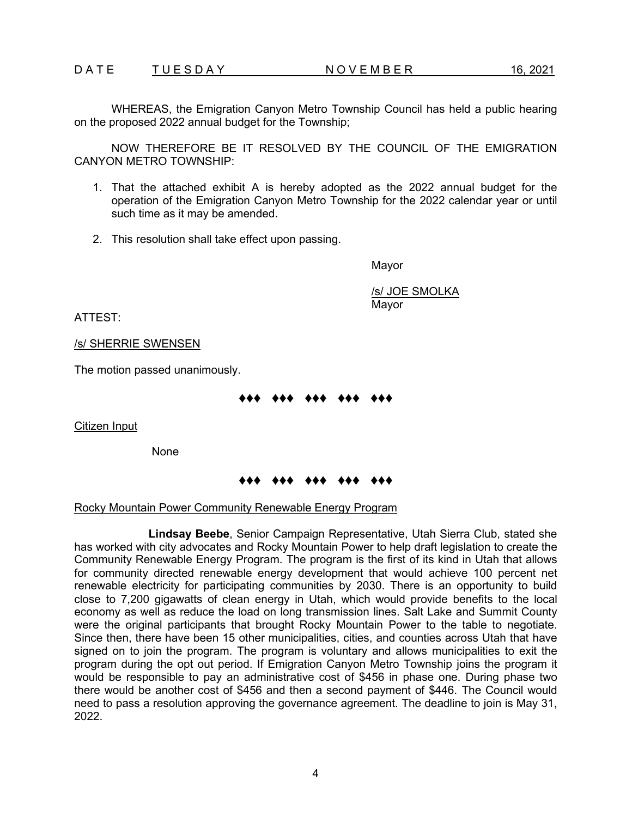|  | DATE | TUESDAY | NOVEMBER | 16, 2021 |
|--|------|---------|----------|----------|
|--|------|---------|----------|----------|

WHEREAS, the Emigration Canyon Metro Township Council has held a public hearing on the proposed 2022 annual budget for the Township;

NOW THEREFORE BE IT RESOLVED BY THE COUNCIL OF THE EMIGRATION CANYON METRO TOWNSHIP:

- 1. That the attached exhibit A is hereby adopted as the 2022 annual budget for the operation of the Emigration Canyon Metro Township for the 2022 calendar year or until such time as it may be amended.
- 2. This resolution shall take effect upon passing.

Mayor

/s/ JOE SMOLKA Mayor

ATTEST:

/s/ SHERRIE SWENSEN

The motion passed unanimously.

### ♦♦♦ ♦♦♦ ♦♦♦ ♦♦♦ ♦♦♦

Citizen Input

None

## ♦♦♦ ♦♦♦ ♦♦♦ ♦♦♦ ♦♦♦

#### Rocky Mountain Power Community Renewable Energy Program

**Lindsay Beebe**, Senior Campaign Representative, Utah Sierra Club, stated she has worked with city advocates and Rocky Mountain Power to help draft legislation to create the Community Renewable Energy Program. The program is the first of its kind in Utah that allows for community directed renewable energy development that would achieve 100 percent net renewable electricity for participating communities by 2030. There is an opportunity to build close to 7,200 gigawatts of clean energy in Utah, which would provide benefits to the local economy as well as reduce the load on long transmission lines. Salt Lake and Summit County were the original participants that brought Rocky Mountain Power to the table to negotiate. Since then, there have been 15 other municipalities, cities, and counties across Utah that have signed on to join the program. The program is voluntary and allows municipalities to exit the program during the opt out period. If Emigration Canyon Metro Township joins the program it would be responsible to pay an administrative cost of \$456 in phase one. During phase two there would be another cost of \$456 and then a second payment of \$446. The Council would need to pass a resolution approving the governance agreement. The deadline to join is May 31, 2022.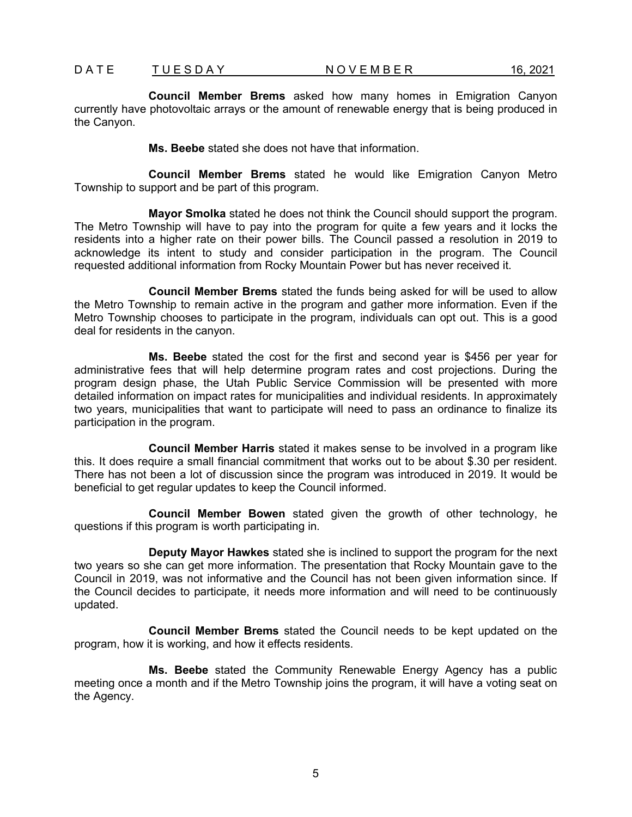**Council Member Brems** asked how many homes in Emigration Canyon currently have photovoltaic arrays or the amount of renewable energy that is being produced in the Canyon.

**Ms. Beebe** stated she does not have that information.

**Council Member Brems** stated he would like Emigration Canyon Metro Township to support and be part of this program.

**Mayor Smolka** stated he does not think the Council should support the program. The Metro Township will have to pay into the program for quite a few years and it locks the residents into a higher rate on their power bills. The Council passed a resolution in 2019 to acknowledge its intent to study and consider participation in the program. The Council requested additional information from Rocky Mountain Power but has never received it.

**Council Member Brems** stated the funds being asked for will be used to allow the Metro Township to remain active in the program and gather more information. Even if the Metro Township chooses to participate in the program, individuals can opt out. This is a good deal for residents in the canyon.

**Ms. Beebe** stated the cost for the first and second year is \$456 per year for administrative fees that will help determine program rates and cost projections. During the program design phase, the Utah Public Service Commission will be presented with more detailed information on impact rates for municipalities and individual residents. In approximately two years, municipalities that want to participate will need to pass an ordinance to finalize its participation in the program.

**Council Member Harris** stated it makes sense to be involved in a program like this. It does require a small financial commitment that works out to be about \$.30 per resident. There has not been a lot of discussion since the program was introduced in 2019. It would be beneficial to get regular updates to keep the Council informed.

**Council Member Bowen** stated given the growth of other technology, he questions if this program is worth participating in.

**Deputy Mayor Hawkes** stated she is inclined to support the program for the next two years so she can get more information. The presentation that Rocky Mountain gave to the Council in 2019, was not informative and the Council has not been given information since. If the Council decides to participate, it needs more information and will need to be continuously updated.

**Council Member Brems** stated the Council needs to be kept updated on the program, how it is working, and how it effects residents.

**Ms. Beebe** stated the Community Renewable Energy Agency has a public meeting once a month and if the Metro Township joins the program, it will have a voting seat on the Agency.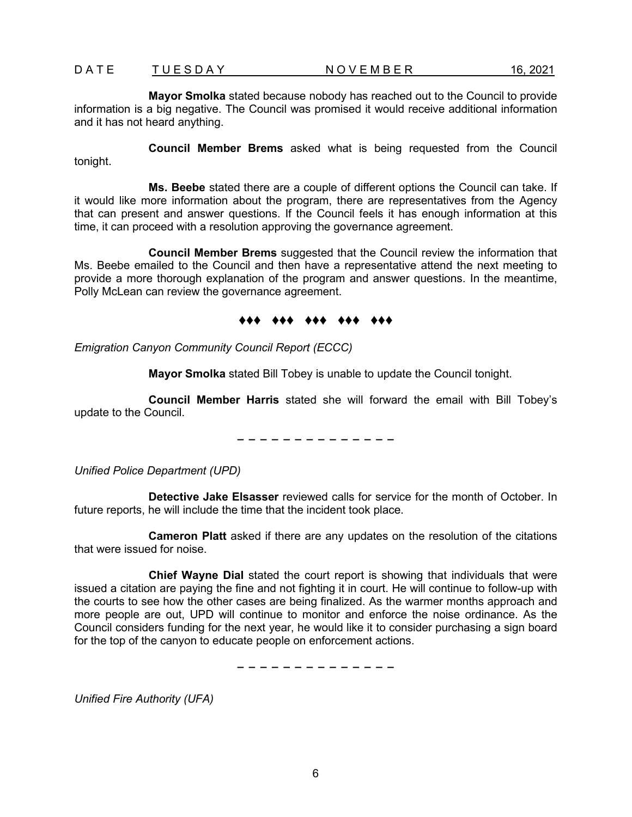**Mayor Smolka** stated because nobody has reached out to the Council to provide information is a big negative. The Council was promised it would receive additional information and it has not heard anything.

**Council Member Brems** asked what is being requested from the Council tonight.

**Ms. Beebe** stated there are a couple of different options the Council can take. If it would like more information about the program, there are representatives from the Agency that can present and answer questions. If the Council feels it has enough information at this time, it can proceed with a resolution approving the governance agreement.

**Council Member Brems** suggested that the Council review the information that Ms. Beebe emailed to the Council and then have a representative attend the next meeting to provide a more thorough explanation of the program and answer questions. In the meantime, Polly McLean can review the governance agreement.

#### ♦♦♦ ♦♦♦ ♦♦♦ ♦♦♦ ♦♦♦

*Emigration Canyon Community Council Report (ECCC)*

**Mayor Smolka** stated Bill Tobey is unable to update the Council tonight.

**Council Member Harris** stated she will forward the email with Bill Tobey's update to the Council.

− − − − − − − − − − − − − −

*Unified Police Department (UPD)* 

**Detective Jake Elsasser** reviewed calls for service for the month of October. In future reports, he will include the time that the incident took place.

**Cameron Platt** asked if there are any updates on the resolution of the citations that were issued for noise.

**Chief Wayne Dial** stated the court report is showing that individuals that were issued a citation are paying the fine and not fighting it in court. He will continue to follow-up with the courts to see how the other cases are being finalized. As the warmer months approach and more people are out, UPD will continue to monitor and enforce the noise ordinance. As the Council considers funding for the next year, he would like it to consider purchasing a sign board for the top of the canyon to educate people on enforcement actions.

− − − − − − − − − − − − − −

*Unified Fire Authority (UFA)*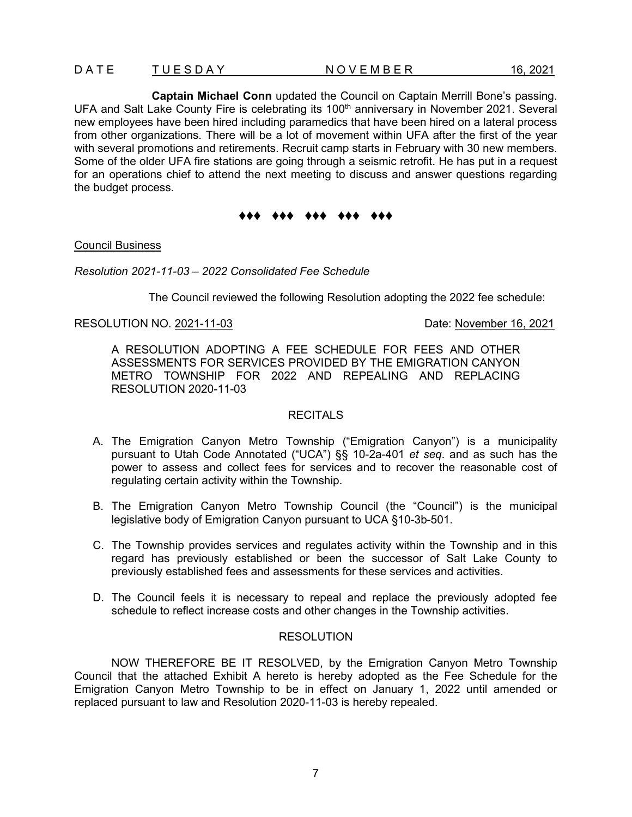**Captain Michael Conn** updated the Council on Captain Merrill Bone's passing. UFA and Salt Lake County Fire is celebrating its 100<sup>th</sup> anniversary in November 2021. Several new employees have been hired including paramedics that have been hired on a lateral process from other organizations. There will be a lot of movement within UFA after the first of the year with several promotions and retirements. Recruit camp starts in February with 30 new members. Some of the older UFA fire stations are going through a seismic retrofit. He has put in a request for an operations chief to attend the next meeting to discuss and answer questions regarding the budget process.

### ♦♦♦ ♦♦♦ ♦♦♦ ♦♦♦ ♦♦♦

#### Council Business

*Resolution 2021-11-03 – 2022 Consolidated Fee Schedule*

The Council reviewed the following Resolution adopting the 2022 fee schedule:

#### RESOLUTION NO. 2021-11-03 Date: November 16, 2021

A RESOLUTION ADOPTING A FEE SCHEDULE FOR FEES AND OTHER ASSESSMENTS FOR SERVICES PROVIDED BY THE EMIGRATION CANYON METRO TOWNSHIP FOR 2022 AND REPEALING AND REPLACING RESOLUTION 2020-11-03

#### **RECITALS**

- A. The Emigration Canyon Metro Township ("Emigration Canyon") is a municipality pursuant to Utah Code Annotated ("UCA") §§ 10-2a-401 *et seq*. and as such has the power to assess and collect fees for services and to recover the reasonable cost of regulating certain activity within the Township.
- B. The Emigration Canyon Metro Township Council (the "Council") is the municipal legislative body of Emigration Canyon pursuant to UCA §10-3b-501.
- C. The Township provides services and regulates activity within the Township and in this regard has previously established or been the successor of Salt Lake County to previously established fees and assessments for these services and activities.
- D. The Council feels it is necessary to repeal and replace the previously adopted fee schedule to reflect increase costs and other changes in the Township activities.

#### **RESOLUTION**

NOW THEREFORE BE IT RESOLVED, by the Emigration Canyon Metro Township Council that the attached Exhibit A hereto is hereby adopted as the Fee Schedule for the Emigration Canyon Metro Township to be in effect on January 1, 2022 until amended or replaced pursuant to law and Resolution 2020-11-03 is hereby repealed.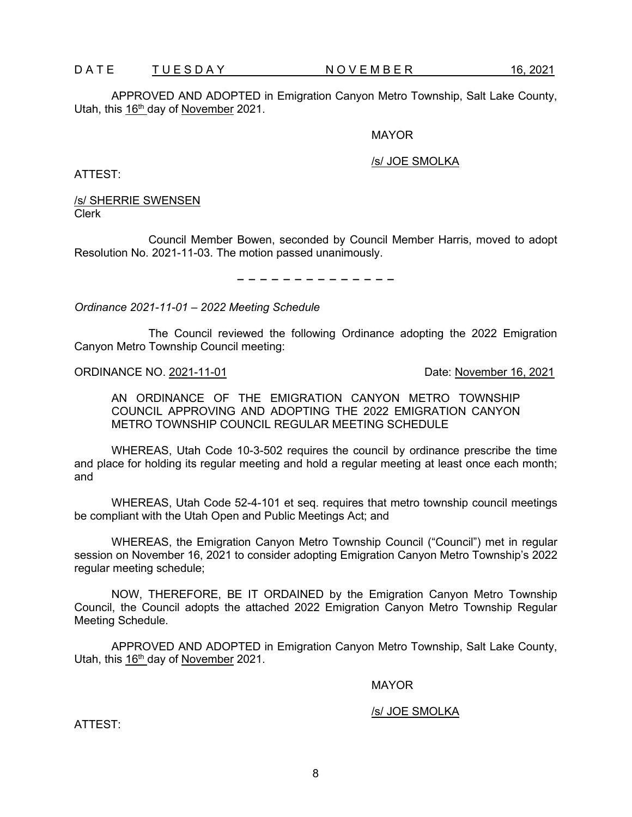APPROVED AND ADOPTED in Emigration Canyon Metro Township, Salt Lake County, Utah, this 16<sup>th</sup> day of November 2021.

#### MAYOR

#### /s/ JOE SMOLKA

ATTEST:

/s/ SHERRIE SWENSEN Clerk

Council Member Bowen, seconded by Council Member Harris, moved to adopt Resolution No. 2021-11-03. The motion passed unanimously.

− − − − − − − − − − − − − −

*Ordinance 2021-11-01 – 2022 Meeting Schedule*

The Council reviewed the following Ordinance adopting the 2022 Emigration Canyon Metro Township Council meeting:

ORDINANCE NO. 2021-11-01 Date: November 16, 2021

AN ORDINANCE OF THE EMIGRATION CANYON METRO TOWNSHIP COUNCIL APPROVING AND ADOPTING THE 2022 EMIGRATION CANYON METRO TOWNSHIP COUNCIL REGULAR MEETING SCHEDULE

WHEREAS, Utah Code 10-3-502 requires the council by ordinance prescribe the time and place for holding its regular meeting and hold a regular meeting at least once each month; and

WHEREAS, Utah Code 52-4-101 et seq. requires that metro township council meetings be compliant with the Utah Open and Public Meetings Act; and

WHEREAS, the Emigration Canyon Metro Township Council ("Council") met in regular session on November 16, 2021 to consider adopting Emigration Canyon Metro Township's 2022 regular meeting schedule;

NOW, THEREFORE, BE IT ORDAINED by the Emigration Canyon Metro Township Council, the Council adopts the attached 2022 Emigration Canyon Metro Township Regular Meeting Schedule.

APPROVED AND ADOPTED in Emigration Canyon Metro Township, Salt Lake County, Utah, this  $16<sup>th</sup>$  day of November 2021.

MAYOR

#### /s/ JOE SMOLKA

ATTEST: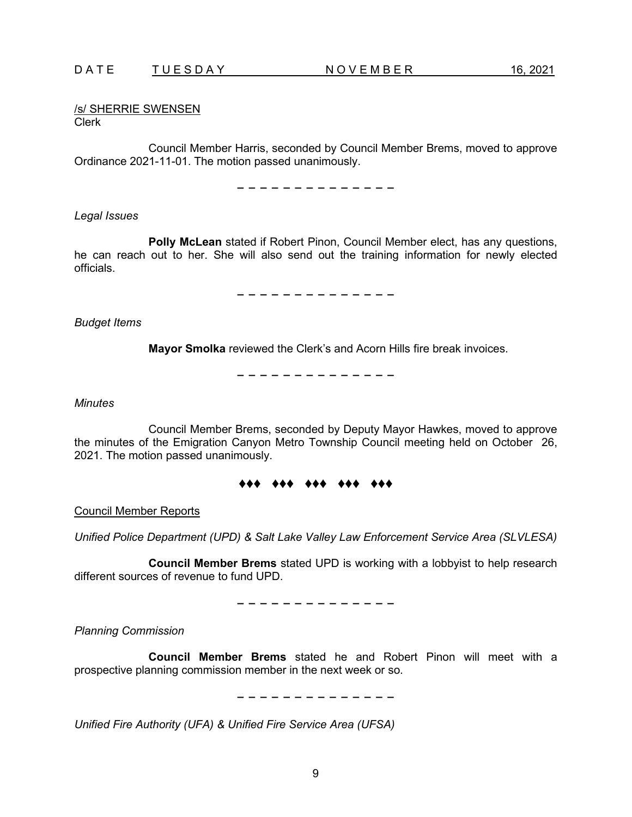/s/ SHERRIE SWENSEN

Clerk

Council Member Harris, seconded by Council Member Brems, moved to approve Ordinance 2021-11-01. The motion passed unanimously.

− − − − − − − − − − − − − −

*Legal Issues*

**Polly McLean** stated if Robert Pinon, Council Member elect, has any questions, he can reach out to her. She will also send out the training information for newly elected officials.

− − − − − − − − − − − − − −

*Budget Items*

**Mayor Smolka** reviewed the Clerk's and Acorn Hills fire break invoices.

− − − − − − − − − − − − − −

*Minutes*

Council Member Brems, seconded by Deputy Mayor Hawkes, moved to approve the minutes of the Emigration Canyon Metro Township Council meeting held on October 26, 2021. The motion passed unanimously.

## ♦♦♦ ♦♦♦ ♦♦♦ ♦♦♦ ♦♦♦

Council Member Reports

*Unified Police Department (UPD) & Salt Lake Valley Law Enforcement Service Area (SLVLESA)*

**Council Member Brems** stated UPD is working with a lobbyist to help research different sources of revenue to fund UPD.

− − − − − − − − − − − − − −

*Planning Commission*

**Council Member Brems** stated he and Robert Pinon will meet with a prospective planning commission member in the next week or so.

− − − − − − − − − − − − − −

*Unified Fire Authority (UFA) & Unified Fire Service Area (UFSA)*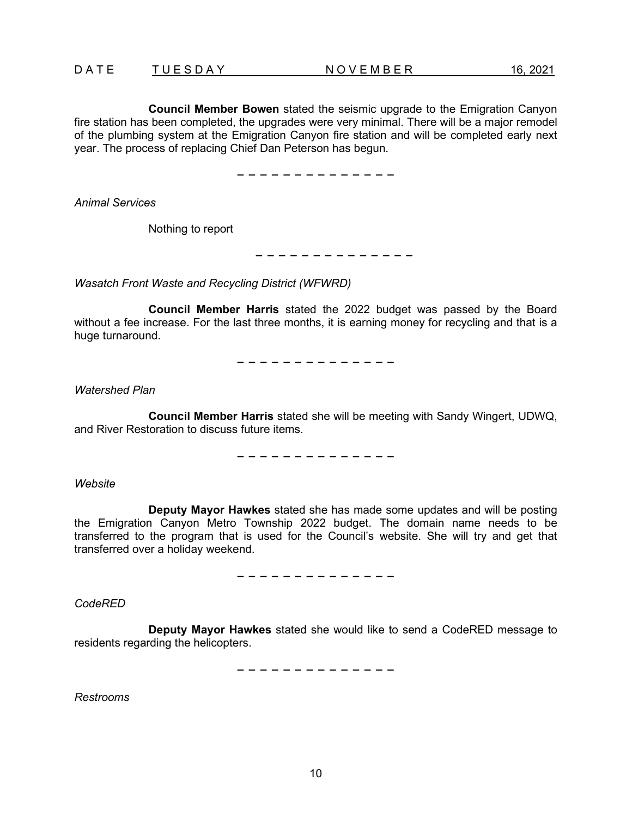**Council Member Bowen** stated the seismic upgrade to the Emigration Canyon fire station has been completed, the upgrades were very minimal. There will be a major remodel of the plumbing system at the Emigration Canyon fire station and will be completed early next year. The process of replacing Chief Dan Peterson has begun.

− − − − − − − − − − − − − −

*Animal Services*

Nothing to report

− − − − − − − − − − − − − −

*Wasatch Front Waste and Recycling District (WFWRD)* 

**Council Member Harris** stated the 2022 budget was passed by the Board without a fee increase. For the last three months, it is earning money for recycling and that is a huge turnaround.

− − − − − − − − − − − − − −

*Watershed Plan*

**Council Member Harris** stated she will be meeting with Sandy Wingert, UDWQ, and River Restoration to discuss future items.

− − − − − − − − − − − − − −

*Website*

**Deputy Mayor Hawkes** stated she has made some updates and will be posting the Emigration Canyon Metro Township 2022 budget. The domain name needs to be transferred to the program that is used for the Council's website. She will try and get that transferred over a holiday weekend.

− − − − − − − − − − − − − −

*CodeRED*

**Deputy Mayor Hawkes** stated she would like to send a CodeRED message to residents regarding the helicopters.

− − − − − − − − − − − − − −

*Restrooms*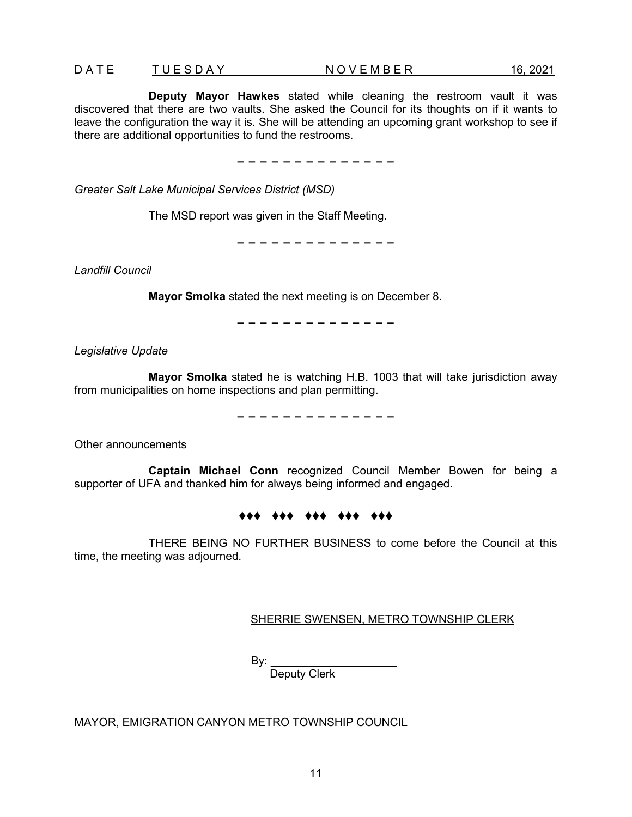D A T E T U E S D A Y A W A N O V E M B E R A T A 16, 2021

**Deputy Mayor Hawkes** stated while cleaning the restroom vault it was discovered that there are two vaults. She asked the Council for its thoughts on if it wants to leave the configuration the way it is. She will be attending an upcoming grant workshop to see if there are additional opportunities to fund the restrooms.

− − − − − − − − − − − − − −

*Greater Salt Lake Municipal Services District (MSD)* 

The MSD report was given in the Staff Meeting.

− − − − − − − − − − − − − −

*Landfill Council*

**Mayor Smolka** stated the next meeting is on December 8.

− − − − − − − − − − − − − −

*Legislative Update*

**Mayor Smolka** stated he is watching H.B. 1003 that will take jurisdiction away from municipalities on home inspections and plan permitting.

− − − − − − − − − − − − − −

Other announcements

**Captain Michael Conn** recognized Council Member Bowen for being a supporter of UFA and thanked him for always being informed and engaged.

#### ♦♦♦ ♦♦♦ ♦♦♦ ♦♦♦ ♦♦♦

THERE BEING NO FURTHER BUSINESS to come before the Council at this time, the meeting was adjourned.

#### SHERRIE SWENSEN, METRO TOWNSHIP CLERK

By: \_\_\_\_\_\_\_\_\_\_\_\_\_\_\_\_\_\_\_\_\_\_\_\_\_\_\_\_

Deputy Clerk

MAYOR, EMIGRATION CANYON METRO TOWNSHIP COUNCIL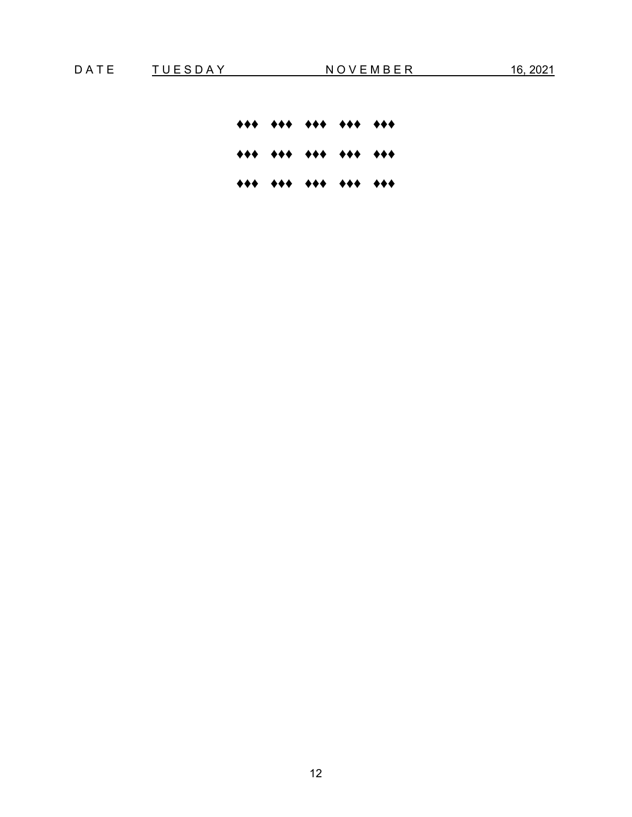♦♦♦ ♦♦♦ ♦♦♦ ♦♦♦ ♦♦♦ ♦♦♦ ♦♦♦ ♦♦♦ ♦♦♦ ♦♦♦

♦♦♦ ♦♦♦ ♦♦♦ ♦♦♦ ♦♦♦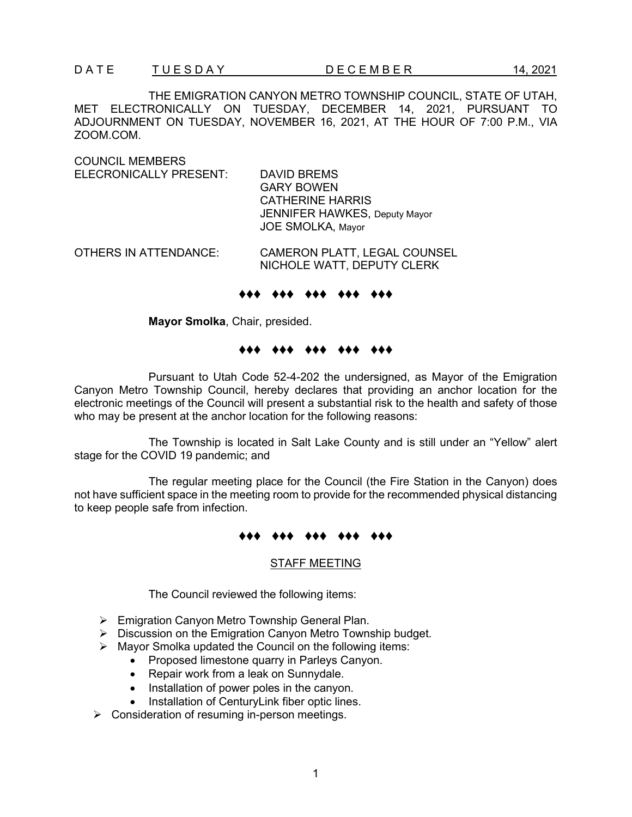D A T E T U E S D A Y LECEMBER 14, 2021

THE EMIGRATION CANYON METRO TOWNSHIP COUNCIL, STATE OF UTAH, MET ELECTRONICALLY ON TUESDAY, DECEMBER 14, 2021, PURSUANT TO ADJOURNMENT ON TUESDAY, NOVEMBER 16, 2021, AT THE HOUR OF 7:00 P.M., VIA ZOOM.COM.

COUNCIL MEMBERS ELECRONICALLY PRESENT: DAVID BREMS GARY BOWEN CATHERINE HARRIS JENNIFER HAWKES, Deputy Mayor JOE SMOLKA, Mayor OTHERS IN ATTENDANCE: CAMERON PLATT, LEGAL COUNSEL

#### ♦♦♦ ♦♦♦ ♦♦♦ ♦♦♦ ♦♦♦

NICHOLE WATT, DEPUTY CLERK

**Mayor Smolka**, Chair, presided.

### ♦♦♦ ♦♦♦ ♦♦♦ ♦♦♦ ♦♦♦

Pursuant to Utah Code 52-4-202 the undersigned, as Mayor of the Emigration Canyon Metro Township Council, hereby declares that providing an anchor location for the electronic meetings of the Council will present a substantial risk to the health and safety of those who may be present at the anchor location for the following reasons:

The Township is located in Salt Lake County and is still under an "Yellow" alert stage for the COVID 19 pandemic; and

The regular meeting place for the Council (the Fire Station in the Canyon) does not have sufficient space in the meeting room to provide for the recommended physical distancing to keep people safe from infection.

#### ♦♦♦ ♦♦♦ ♦♦♦ ♦♦♦ ♦♦♦

#### STAFF MEETING

The Council reviewed the following items:

- Emigration Canyon Metro Township General Plan.
- $\triangleright$  Discussion on the Emigration Canyon Metro Township budget.
- $\triangleright$  Mayor Smolka updated the Council on the following items:
	- Proposed limestone quarry in Parleys Canyon.
	- Repair work from a leak on Sunnydale.
	- Installation of power poles in the canyon.
	- Installation of CenturyLink fiber optic lines.
- > Consideration of resuming in-person meetings.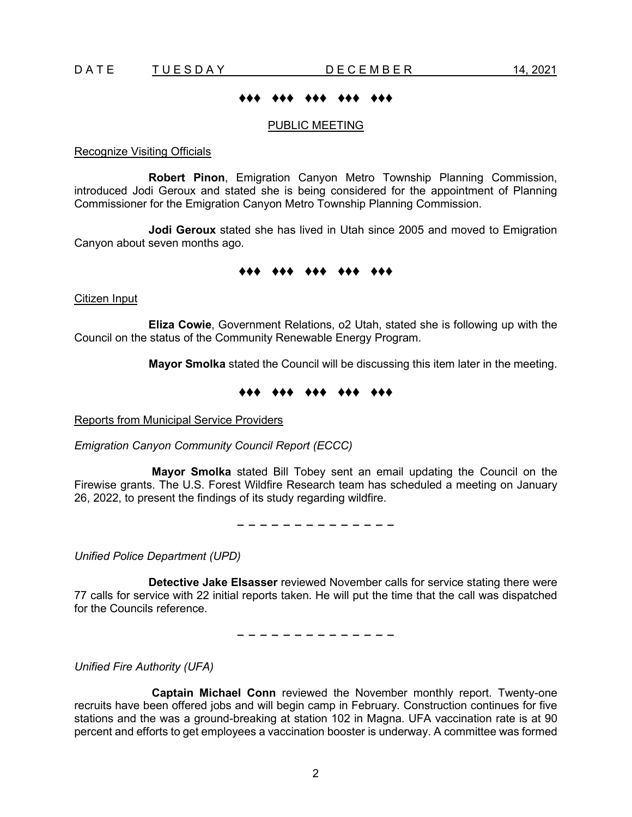#### ♦♦♦ ♦♦♦ ♦♦♦ ♦♦♦ ♦♦♦

#### PUBLIC MEETING

Recognize Visiting Officials

**Robert Pinon**, Emigration Canyon Metro Township Planning Commission, introduced Jodi Geroux and stated she is being considered for the appointment of Planning Commissioner for the Emigration Canyon Metro Township Planning Commission.

**Jodi Geroux** stated she has lived in Utah since 2005 and moved to Emigration Canyon about seven months ago.

#### ♦♦♦ ♦♦♦ ♦♦♦ ♦♦♦ ♦♦♦

Citizen Input

**Eliza Cowie**, Government Relations, o2 Utah, stated she is following up with the Council on the status of the Community Renewable Energy Program.

**Mayor Smolka** stated the Council will be discussing this item later in the meeting.

#### ♦♦♦ ♦♦♦ ♦♦♦ ♦♦♦ ♦♦♦

Reports from Municipal Service Providers

*Emigration Canyon Community Council Report (ECCC)*

**Mayor Smolka** stated Bill Tobey sent an email updating the Council on the Firewise grants. The U.S. Forest Wildfire Research team has scheduled a meeting on January 26, 2022, to present the findings of its study regarding wildfire.

− − − − − − − − − − − − − −

*Unified Police Department (UPD)* 

**Detective Jake Elsasser** reviewed November calls for service stating there were 77 calls for service with 22 initial reports taken. He will put the time that the call was dispatched for the Councils reference.

− − − − − − − − − − − − − −

*Unified Fire Authority (UFA)*

**Captain Michael Conn** reviewed the November monthly report. Twenty-one recruits have been offered jobs and will begin camp in February. Construction continues for five stations and the was a ground-breaking at station 102 in Magna. UFA vaccination rate is at 90 percent and efforts to get employees a vaccination booster is underway. A committee was formed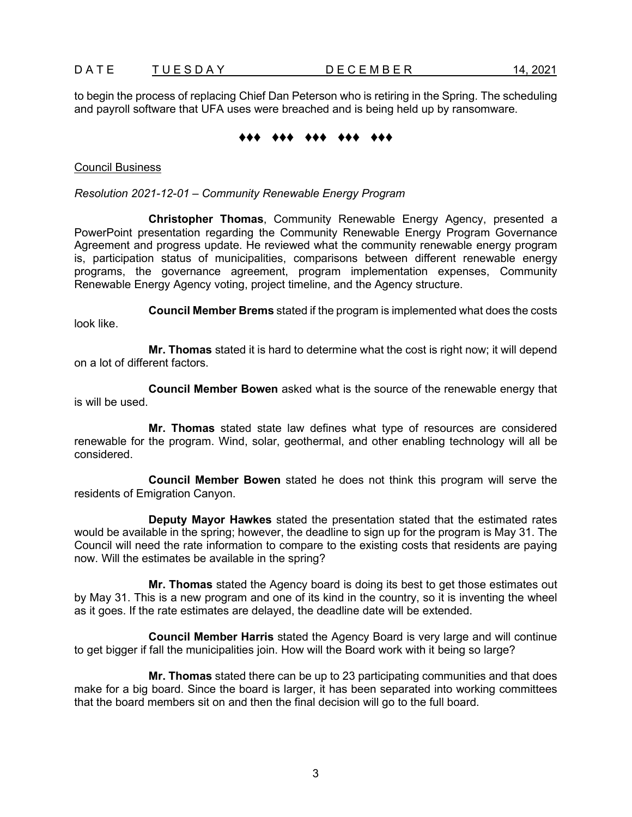|--|

to begin the process of replacing Chief Dan Peterson who is retiring in the Spring. The scheduling and payroll software that UFA uses were breached and is being held up by ransomware.

### ♦♦♦ ♦♦♦ ♦♦♦ ♦♦♦ ♦♦♦

Council Business

*Resolution 2021-12-01 – Community Renewable Energy Program*

**Christopher Thomas**, Community Renewable Energy Agency, presented a PowerPoint presentation regarding the Community Renewable Energy Program Governance Agreement and progress update. He reviewed what the community renewable energy program is, participation status of municipalities, comparisons between different renewable energy programs, the governance agreement, program implementation expenses, Community Renewable Energy Agency voting, project timeline, and the Agency structure.

**Council Member Brems** stated if the program is implemented what does the costs look like.

**Mr. Thomas** stated it is hard to determine what the cost is right now; it will depend on a lot of different factors.

**Council Member Bowen** asked what is the source of the renewable energy that is will be used.

**Mr. Thomas** stated state law defines what type of resources are considered renewable for the program. Wind, solar, geothermal, and other enabling technology will all be considered.

**Council Member Bowen** stated he does not think this program will serve the residents of Emigration Canyon.

**Deputy Mayor Hawkes** stated the presentation stated that the estimated rates would be available in the spring; however, the deadline to sign up for the program is May 31. The Council will need the rate information to compare to the existing costs that residents are paying now. Will the estimates be available in the spring?

**Mr. Thomas** stated the Agency board is doing its best to get those estimates out by May 31. This is a new program and one of its kind in the country, so it is inventing the wheel as it goes. If the rate estimates are delayed, the deadline date will be extended.

**Council Member Harris** stated the Agency Board is very large and will continue to get bigger if fall the municipalities join. How will the Board work with it being so large?

**Mr. Thomas** stated there can be up to 23 participating communities and that does make for a big board. Since the board is larger, it has been separated into working committees that the board members sit on and then the final decision will go to the full board.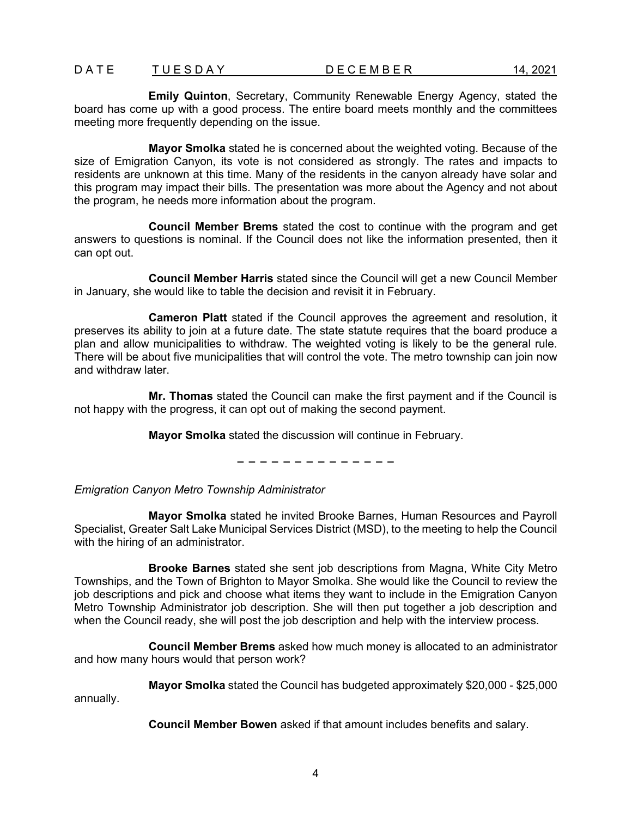#### D A T E T U E S D A Y LECEMBER 14, 2021

**Emily Quinton**, Secretary, Community Renewable Energy Agency, stated the board has come up with a good process. The entire board meets monthly and the committees meeting more frequently depending on the issue.

**Mayor Smolka** stated he is concerned about the weighted voting. Because of the size of Emigration Canyon, its vote is not considered as strongly. The rates and impacts to residents are unknown at this time. Many of the residents in the canyon already have solar and this program may impact their bills. The presentation was more about the Agency and not about the program, he needs more information about the program.

**Council Member Brems** stated the cost to continue with the program and get answers to questions is nominal. If the Council does not like the information presented, then it can opt out.

**Council Member Harris** stated since the Council will get a new Council Member in January, she would like to table the decision and revisit it in February.

**Cameron Platt** stated if the Council approves the agreement and resolution, it preserves its ability to join at a future date. The state statute requires that the board produce a plan and allow municipalities to withdraw. The weighted voting is likely to be the general rule. There will be about five municipalities that will control the vote. The metro township can join now and withdraw later.

**Mr. Thomas** stated the Council can make the first payment and if the Council is not happy with the progress, it can opt out of making the second payment.

**Mayor Smolka** stated the discussion will continue in February.

− − − − − − − − − − − − − −

*Emigration Canyon Metro Township Administrator*

**Mayor Smolka** stated he invited Brooke Barnes, Human Resources and Payroll Specialist, Greater Salt Lake Municipal Services District (MSD), to the meeting to help the Council with the hiring of an administrator.

**Brooke Barnes** stated she sent job descriptions from Magna, White City Metro Townships, and the Town of Brighton to Mayor Smolka. She would like the Council to review the job descriptions and pick and choose what items they want to include in the Emigration Canyon Metro Township Administrator job description. She will then put together a job description and when the Council ready, she will post the job description and help with the interview process.

**Council Member Brems** asked how much money is allocated to an administrator and how many hours would that person work?

**Mayor Smolka** stated the Council has budgeted approximately \$20,000 - \$25,000 annually.

**Council Member Bowen** asked if that amount includes benefits and salary.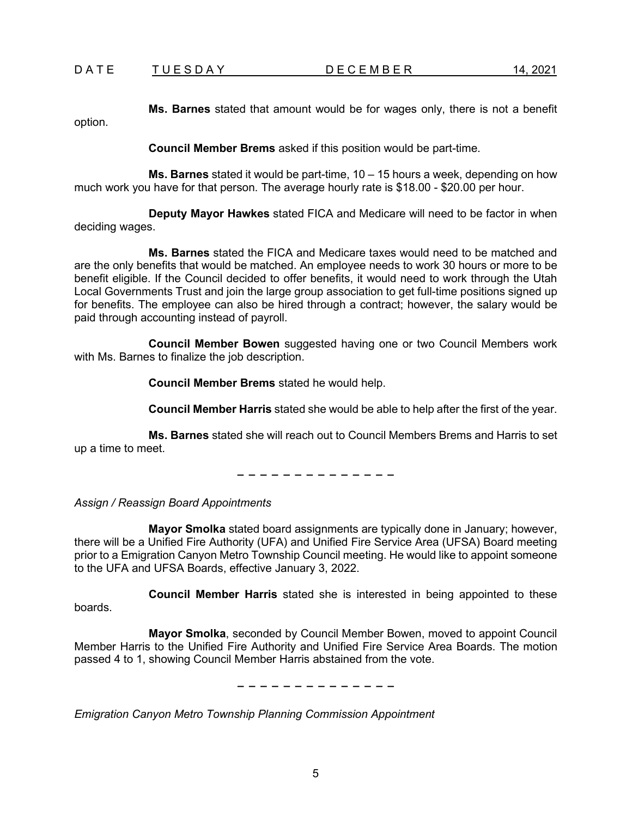|  | DATE | TUESDAY | <b>DECEMBER</b> | 14, 2021 |
|--|------|---------|-----------------|----------|
|--|------|---------|-----------------|----------|

**Ms. Barnes** stated that amount would be for wages only, there is not a benefit option.

**Council Member Brems** asked if this position would be part-time.

**Ms. Barnes** stated it would be part-time, 10 – 15 hours a week, depending on how much work you have for that person. The average hourly rate is \$18.00 - \$20.00 per hour.

**Deputy Mayor Hawkes** stated FICA and Medicare will need to be factor in when deciding wages.

**Ms. Barnes** stated the FICA and Medicare taxes would need to be matched and are the only benefits that would be matched. An employee needs to work 30 hours or more to be benefit eligible. If the Council decided to offer benefits, it would need to work through the Utah Local Governments Trust and join the large group association to get full-time positions signed up for benefits. The employee can also be hired through a contract; however, the salary would be paid through accounting instead of payroll.

**Council Member Bowen** suggested having one or two Council Members work with Ms. Barnes to finalize the job description.

**Council Member Brems** stated he would help.

**Council Member Harris** stated she would be able to help after the first of the year.

**Ms. Barnes** stated she will reach out to Council Members Brems and Harris to set up a time to meet.

− − − − − − − − − − − − − −

*Assign / Reassign Board Appointments*

**Mayor Smolka** stated board assignments are typically done in January; however, there will be a Unified Fire Authority (UFA) and Unified Fire Service Area (UFSA) Board meeting prior to a Emigration Canyon Metro Township Council meeting. He would like to appoint someone to the UFA and UFSA Boards, effective January 3, 2022.

**Council Member Harris** stated she is interested in being appointed to these boards.

**Mayor Smolka**, seconded by Council Member Bowen, moved to appoint Council Member Harris to the Unified Fire Authority and Unified Fire Service Area Boards. The motion passed 4 to 1, showing Council Member Harris abstained from the vote.

− − − − − − − − − − − − − −

*Emigration Canyon Metro Township Planning Commission Appointment*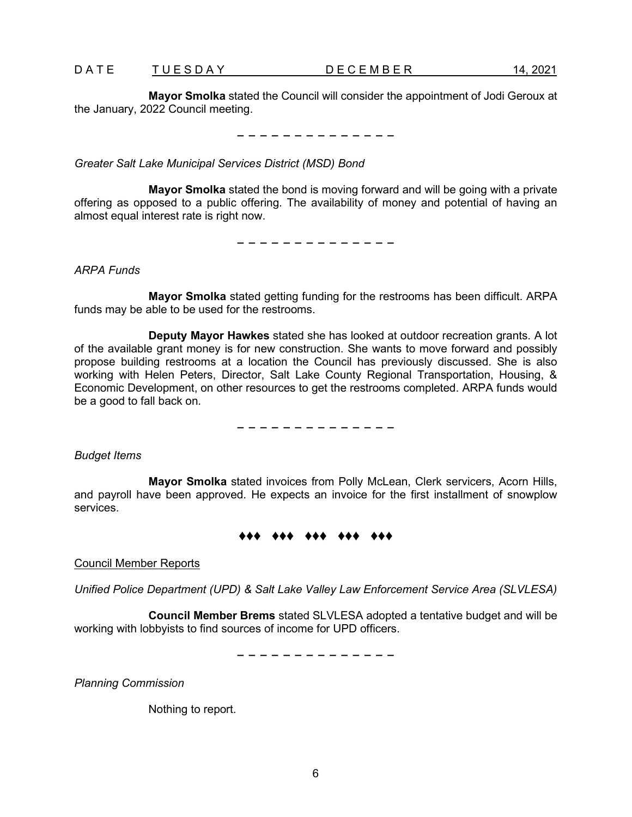| DATE | TUESDAY | <b>DECEMBER</b> | 14, 2021 |
|------|---------|-----------------|----------|
|      |         |                 |          |

**Mayor Smolka** stated the Council will consider the appointment of Jodi Geroux at the January, 2022 Council meeting.

− − − − − − − − − − − − − −

*Greater Salt Lake Municipal Services District (MSD) Bond*

**Mayor Smolka** stated the bond is moving forward and will be going with a private offering as opposed to a public offering. The availability of money and potential of having an almost equal interest rate is right now.

− − − − − − − − − − − − − −

*ARPA Funds*

**Mayor Smolka** stated getting funding for the restrooms has been difficult. ARPA funds may be able to be used for the restrooms.

**Deputy Mayor Hawkes** stated she has looked at outdoor recreation grants. A lot of the available grant money is for new construction. She wants to move forward and possibly propose building restrooms at a location the Council has previously discussed. She is also working with Helen Peters, Director, Salt Lake County Regional Transportation, Housing, & Economic Development, on other resources to get the restrooms completed. ARPA funds would be a good to fall back on.

− − − − − − − − − − − − − −

*Budget Items*

**Mayor Smolka** stated invoices from Polly McLean, Clerk servicers, Acorn Hills, and payroll have been approved. He expects an invoice for the first installment of snowplow services.

#### ♦♦♦ ♦♦♦ ♦♦♦ ♦♦♦ ♦♦♦

Council Member Reports

*Unified Police Department (UPD) & Salt Lake Valley Law Enforcement Service Area (SLVLESA)*

**Council Member Brems** stated SLVLESA adopted a tentative budget and will be working with lobbyists to find sources of income for UPD officers.

− − − − − − − − − − − − − −

*Planning Commission*

Nothing to report.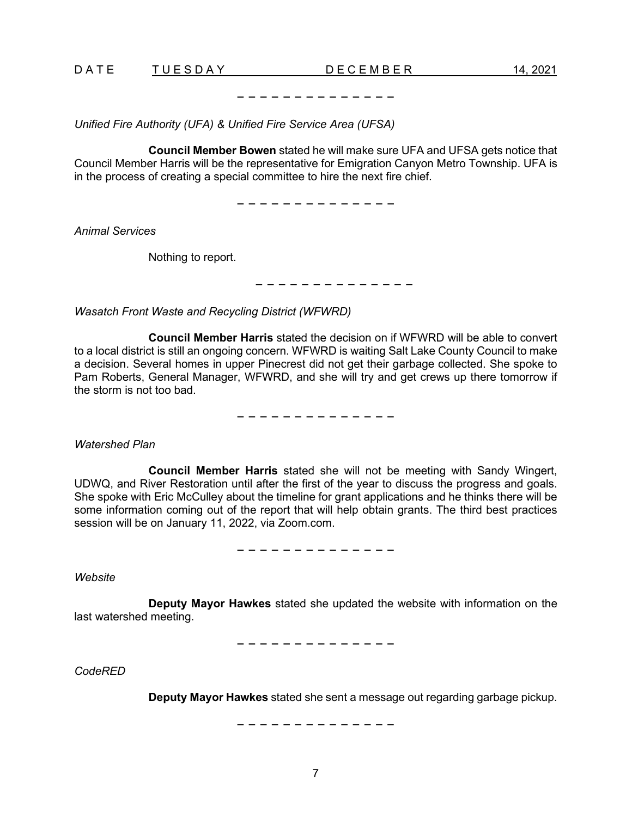D A T E T U E S D A Y C A T L C E M B E R T A T U E S D A Y

− − − − − − − − − − − − − −

*Unified Fire Authority (UFA) & Unified Fire Service Area (UFSA)*

**Council Member Bowen** stated he will make sure UFA and UFSA gets notice that Council Member Harris will be the representative for Emigration Canyon Metro Township. UFA is in the process of creating a special committee to hire the next fire chief.

− − − − − − − − − − − − − −

*Animal Services*

Nothing to report.

− − − − − − − − − − − − − −

*Wasatch Front Waste and Recycling District (WFWRD)* 

**Council Member Harris** stated the decision on if WFWRD will be able to convert to a local district is still an ongoing concern. WFWRD is waiting Salt Lake County Council to make a decision. Several homes in upper Pinecrest did not get their garbage collected. She spoke to Pam Roberts, General Manager, WFWRD, and she will try and get crews up there tomorrow if the storm is not too bad.

− − − − − − − − − − − − − −

*Watershed Plan*

**Council Member Harris** stated she will not be meeting with Sandy Wingert, UDWQ, and River Restoration until after the first of the year to discuss the progress and goals. She spoke with Eric McCulley about the timeline for grant applications and he thinks there will be some information coming out of the report that will help obtain grants. The third best practices session will be on January 11, 2022, via Zoom.com.

− − − − − − − − − − − − − −

*Website*

**Deputy Mayor Hawkes** stated she updated the website with information on the last watershed meeting.

− − − − − − − − − − − − − −

*CodeRED*

**Deputy Mayor Hawkes** stated she sent a message out regarding garbage pickup.

− − − − − − − − − − − − − −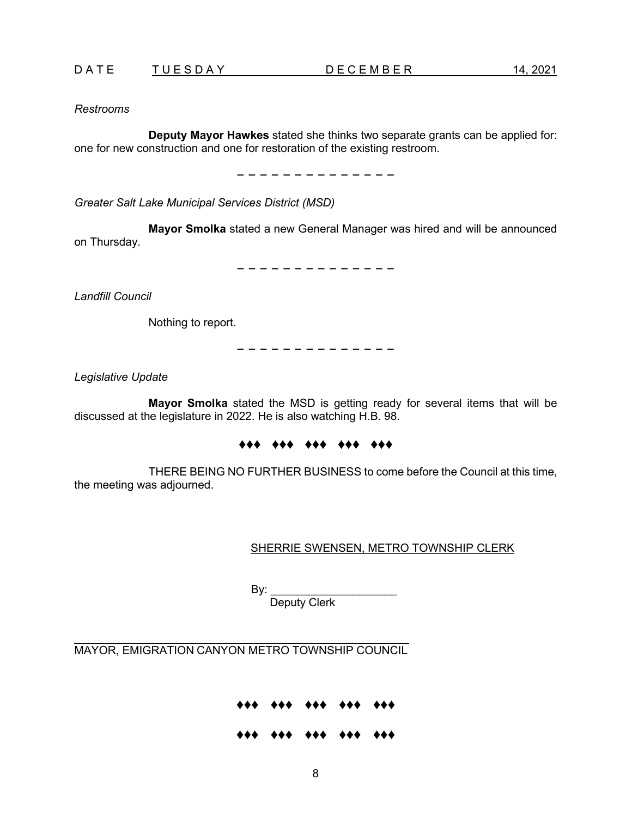D A T E T U E S D A Y C A T L C E M B E R T A 2021

*Restrooms*

**Deputy Mayor Hawkes** stated she thinks two separate grants can be applied for: one for new construction and one for restoration of the existing restroom.

− − − − − − − − − − − − − −

*Greater Salt Lake Municipal Services District (MSD)* 

**Mayor Smolka** stated a new General Manager was hired and will be announced on Thursday.

− − − − − − − − − − − − − −

*Landfill Council*

Nothing to report.

− − − − − − − − − − − − − −

*Legislative Update*

**Mayor Smolka** stated the MSD is getting ready for several items that will be discussed at the legislature in 2022. He is also watching H.B. 98.

#### ♦♦♦ ♦♦♦ ♦♦♦ ♦♦♦ ♦♦♦

THERE BEING NO FURTHER BUSINESS to come before the Council at this time, the meeting was adjourned.

SHERRIE SWENSEN, METRO TOWNSHIP CLERK

By: \_\_\_\_\_\_\_\_\_\_\_\_\_\_\_\_\_\_\_\_\_\_\_\_\_\_\_\_

Deputy Clerk

MAYOR, EMIGRATION CANYON METRO TOWNSHIP COUNCIL

♦♦♦ ♦♦♦ ♦♦♦ ♦♦♦ ♦♦♦

♦♦♦ ♦♦♦ ♦♦♦ ♦♦♦ ♦♦♦